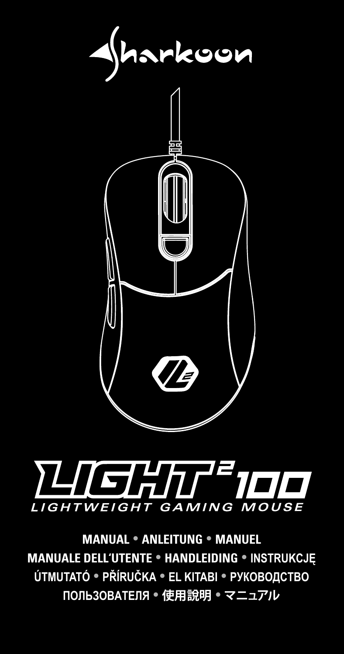



**MANUAL ANLEITUNG MANUEL MANUALE DELL'UTENTE HANDLEIDING INSTRUKCJĘ ÚTMUTATÓ PŘÍRUČKA EL KITABI РУКОВОДСТВО ПОЛЬЗОВАТЕЛЯ 使用說明 マニュアル**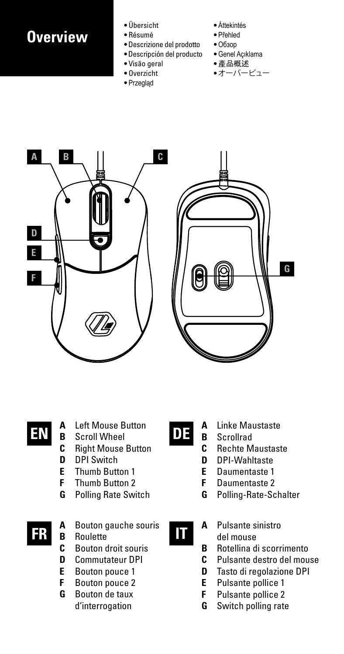### **Overview**

- Übersicht
- Résumé
- Descrizione del prodotto
- Descripción del producto
- Visão geral
- Overzicht • Przegląd
- Áttekintés
- Přehled
- Обзор
- Genel Açıklama
- 產品概述
- オーバービュー



## **A** Left Mouse Button

- **B** Scroll Wheel **EN DE**
	- **C** Right Mouse Button
	- **D** DPI Switch<br>**F** Thumb Butt
	- **E** Thumb Button 1<br>**E** Thumb Button 2
	- **F** Thumb Button 2
	- **G** Polling Rate Switch
- **A** Bouton gauche souris **B** Roulette **IT** 
	-
	- **C** Bouton droit souris
	- **D** Commutateur DPI
	- **E** Bouton pouce 1<br>**E** Bouton pouce 2
	- **F** Bouton pouce 2
	- **G** Bouton de taux d'interrogation

- **A** Linke Maustaste
- **B** Scrollrad<br>**C** Bechte M
- **Rechte Maustaste**
- **D** DPI-Wahltaste
- **E** Daumentaste 1
- **F** Daumentaste 2
- **G** Polling-Rate-Schalter
- 
- **A** Pulsante sinistro del mouse
- **B** Rotellina di scorrimento
- **C** Pulsante destro del mouse
- **D** Tasto di regolazione DPI<br>**E** Pulsante pollice 1
- **E** Pulsante pollice 1
- **F** Pulsante pollice 2
- **G** Switch polling rate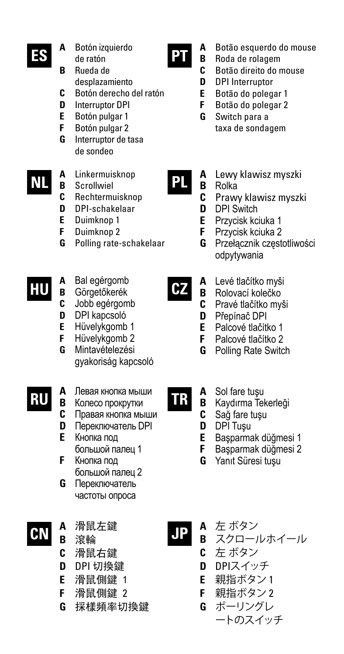- **ES**
- **A** Botón izquierdo de ratón
- **B** Rueda de desplazamiento
- **C** Botón derecho del ratón
- **D** Interruptor DPI
- **E** Botón pulgar 1<br>**E** Botón pulgar 2
- **F** Botón pulgar 2
- **G** Interruptor de tasa de sondeo
- **A** Linkermuisknop **NL**
	- **B** Scrollwiel
	- **C** Rechtermuisknop
	- **D** DPI-schakelaar
	- **E** Duimknop 1
	- **F** Duimknop 2
	- **G** Polling rate-schakelaar
- **A** Bal egérgomb **HU**
	- **B** Görgetőkerék
		- **C** Jobb egérgomb
	- **D** DPI kapcsoló
	- **E** Hüvelykgomb 1 **F** Hüvelykgomb 2
	- **G** Mintavételezési gyakoriság kapcsoló
- **A** Левая кнопка мыши **RU**
	- **B** Колесо прокрутки
	- **C** Правая кнопка мыши
	- **D** Переключатель DPI **E** Кнопка под
	- большой палец 1 **F** Кнопка под
	- большой палец 2 **G** Переключатель
	- частоты опроса
- **A** 滑鼠左鍵 **CN**
	- **B** 滾輪
	- **C** 滑鼠右鍵
	- **D** DPI 切換鍵
	- **E** 滑鼠側鍵 1
	- **F** 滑鼠側鍵 2
	- **G** 採樣頻率切換鍵

**A** Botão esquerdo do mouse

- **B** Roda de rolagem
	- **C** Botão direito do mouse
- **D** DPI Interruptor
- **E** Botão do polegar 1
- **F** Botão do polegar 2 **G** Switch para a
	- taxa de sondagem
- **A** Lewy klawisz myszki **PL**
	- **B** Rolka
		- **C** Prawy klawisz myszki
	- **D** DPI Switch<br>**F** Przycisk kc
	- **E** Przycisk kciuka 1
		- **F** Przycisk kciuka 2
	- **G** Przełącznik częstotliwości odpytywania
	- **A** Levé tlačítko myši
		- **B** Rolovací kolečko<br>C Pravé tlačítko my
			- **C** Pravé tlačítko myši
		- **D** Přepínač DPI<br>**E** Palcové tlačít
		- **E** Palcové tlačítko 1
		- **F** Palcové tlačítko 2<br>**G** Polling Rate Switch **Polling Rate Switch**
		- **A** Sol fare tuşu<br>**B** Kaydırma Tel
	- **B** Kaydırma Tekerleği
	- **C** Sağ fare tuşu
	- **D** DPI Tuşu
	- **E** Başparmak düğmesi 1
		- **F** Başparmak düğmesi 2
	- **G** Yanıt Süresi tuşu
	-
- **A** 左 ボタン **B** スクロールホイール **JP**
	- **C** 左 ボタン
	- **D** DPIスイッチ
	- **E** 親指ボタン 1
	- **F** 親指ボタン 2
	- **G** ポーリングレ
		- ートのスイッチ

**TR**

**CZ**

**PT**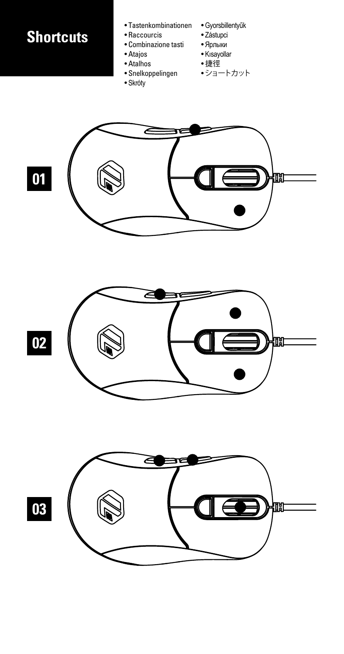### **Shortcuts**

- Tastenkombinationen
- Raccourcis
- Combinazione tasti
- Atajos • Atalhos
- Snelkoppelingen
- Skróty
- Gyorsbillentyűk
- Zástupci
- Ярлыки • Kısayollar
- 捷徑
- ショートカット





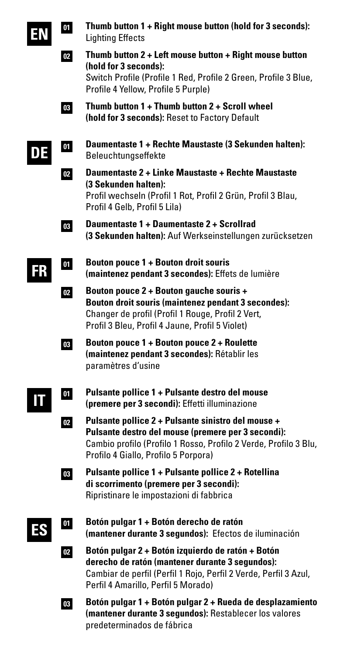

**DE**

**Thumb button 1 + Right mouse button (hold for 3 seconds):** Lighting Effects **Thumb button 2 + Left mouse button + Right mouse button**



**01**

**02**

- **03 (hold for 3 seconds):** Switch Profile (Profile 1 Red, Profile 2 Green, Profile 3 Blue, Profile 4 Yellow, Profile 5 Purple) **Thumb button 1 + Thumb button 2 + Scroll wheel (hold for 3 seconds):** Reset to Factory Default
	- **Daumentaste 1 + Rechte Maustaste (3 Sekunden halten):** Beleuchtungseffekte
	- **Daumentaste 2 + Linke Maustaste + Rechte Maustaste (3 Sekunden halten):** Profil wechseln (Profil 1 Rot, Profil 2 Grün, Profil 3 Blau, Profil 4 Gelb, Profil 5 Lila)
- **03 Daumentaste 1 + Daumentaste 2 + Scrollrad (3 Sekunden halten):** Auf Werkseinstellungen zurücksetzen
- **FR**

**01**

- **Bouton pouce 1 + Bouton droit souris (maintenez pendant 3 secondes):** Effets de lumière
- **02 Bouton pouce 2 + Bouton gauche souris + Bouton droit souris (maintenez pendant 3 secondes):** Changer de profil (Profil 1 Rouge, Profil 2 Vert, Profil 3 Bleu, Profil 4 Jaune, Profil 5 Violet)
- **03 Bouton pouce 1 + Bouton pouce 2 + Roulette (maintenez pendant 3 secondes):** Rétablir les paramètres d'usine
- **01 IT**
- **Pulsante pollice 1 + Pulsante destro del mouse (premere per 3 secondi):** Effetti illuminazione
- **02 Pulsante pollice 2 + Pulsante sinistro del mouse + Pulsante destro del mouse (premere per 3 secondi):**  Cambio profilo (Profilo 1 Rosso, Profilo 2 Verde, Profilo 3 Blu, Profilo 4 Giallo, Profilo 5 Porpora)
- **03**

**01**

**02**

- **Pulsante pollice 1 + Pulsante pollice 2 + Rotellina di scorrimento (premere per 3 secondi):**  Ripristinare le impostazioni di fabbrica
- **ES**
- **Botón pulgar 1 + Botón derecho de ratón (mantener durante 3 segundos):** Efectos de iluminación
- **Botón pulgar 2 + Botón izquierdo de ratón + Botón derecho de ratón (mantener durante 3 segundos):**  Cambiar de perfil (Perfil 1 Rojo, Perfil 2 Verde, Perfil 3 Azul, Perfil 4 Amarillo, Perfil 5 Morado)
- **03 Botón pulgar 1 + Botón pulgar 2 + Rueda de desplazamiento (mantener durante 3 segundos):** Restablecer los valores predeterminados de fábrica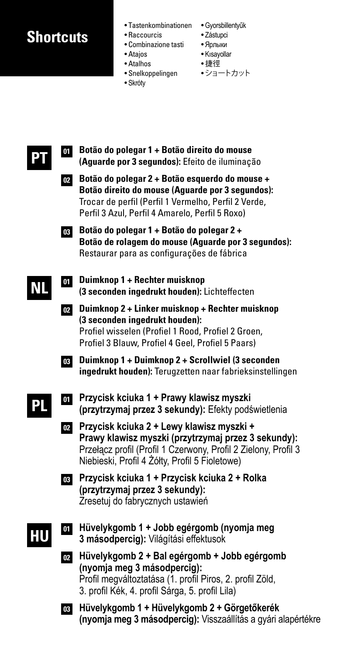### **Shortcuts**

- 
- Raccourcis
- Combinazione tasti Ярлыки
- Atajos
- Atalhos

**Botão do polegar 1 + Botão direito do mouse 01**

- 
- Tastenkombinationen Gyorsbillentyűk
	- Zástupci
	- Kısayollar
	- 捷徑
- Snelkoppelingen ショートカット
- Skróty
- **(Aguarde por 3 segundos):** Efeito de iluminação **Botão do polegar 2 + Botão esquerdo do mouse + 02 Botão direito do mouse (Aguarde por 3 segundos):** Trocar de perfil (Perfil 1 Vermelho, Perfil 2 Verde, Perfil 3 Azul, Perfil 4 Amarelo, Perfil 5 Roxo) **Botão do polegar 1 + Botão do polegar 2 + 03 Botão de rolagem do mouse (Aguarde por 3 segundos):**  Restaurar para as configurações de fábrica **NL PT**

**PL**

**HU**

**Duimknop 1 + Rechter muisknop 01 (3 seconden ingedrukt houden):** Lichteffecten **Duimknop 2 + Linker muisknop + Rechter muisknop 02 (3 seconden ingedrukt houden):** Profiel wisselen (Profiel 1 Rood, Profiel 2 Groen, Profiel 3 Blauw, Profiel 4 Geel, Profiel 5 Paars) **Duimknop 1 + Duimknop 2 + Scrollwiel (3 seconden 03 ingedrukt houden):** Terugzetten naar fabrieksinstellingen **Przycisk kciuka 1 + Prawy klawisz myszki 01 (przytrzymaj przez 3 sekundy):** Efekty podświetlenia **Przycisk kciuka 2 + Lewy klawisz myszki + 02 Prawy klawisz myszki (przytrzymaj przez 3 sekundy):** Przełącz profil (Profil 1 Czerwony, Profil 2 Zielony, Profil 3 Niebieski, Profil 4 Żółty, Profil 5 Fioletowe) **Przycisk kciuka 1 + Przycisk kciuka 2 + Rolka 03 (przytrzymaj przez 3 sekundy):** Zresetuj do fabrycznych ustawień **Hüvelykgomb 1 + Jobb egérgomb (nyomja meg 3 másodpercig):** Világítási effektusok **01 Hüvelykgomb 2 + Bal egérgomb + Jobb egérgomb 02 (nyomja meg 3 másodpercig):**

Profil megváltoztatása (1. profil Piros, 2. profil Zöld, 3. profil Kék, 4. profil Sárga, 5. profil Lila)

**Hüvelykgomb 1 + Hüvelykgomb 2 + Görgetőkerék 03 (nyomja meg 3 másodpercig):** Visszaállítás a gyári alapértékre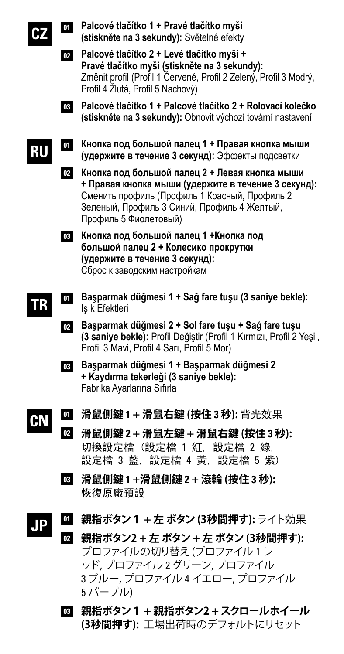**CZ**

**RU**

- **Palcové tlačítko 1 + Pravé tlačítko myši 01 (stiskněte na 3 sekundy):** Světelné efekty
- **Palcové tlačítko 2 + Levé tlačítko myši + 02 Pravé tlačítko myši (stiskněte na 3 sekundy):**  Změnit profil (Profil 1 Červené, Profil 2 Zelený, Profil 3 Modrý, Profil 4 Žlutá, Profil 5 Nachový)
- **Palcové tlačítko 1 + Palcové tlačítko 2 + Rolovací kolečko 03 (stiskněte na 3 sekundy):** Obnovit výchozí tovární nastavení
- **Кнопка под большой палец 1 + Правая кнопка мыши 01 (удержите в течение 3 секунд):** Эффекты подсветки
- **Кнопка под большой палец 2 + Левая кнопка мыши 02 + Правая кнопка мыши (удержите в течение 3 секунд):**  Сменить профиль (Профиль 1 Красный, Профиль 2 Зеленый, Профиль 3 Синий, Профиль 4 Желтый, Профиль 5 Фиолетовый)
- **Кнопка под большой палец 1 +Кнопка под 03 большой палец 2 + Колесико прокрутки (удержите в течение 3 секунд):** Сброс к заводским настройкам
- **Başparmak düğmesi 1 + Sağ fare tuşu (3 saniye bekle): 01** Işık Efektleri **TR**
	- **Başparmak düğmesi 2 + Sol fare tuşu + Sağ fare tuşu 02 (3 saniye bekle):** Profil Değiştir (Profil 1 Kırmızı, Profil 2 Yeşil, Profil 3 Mavi, Profil 4 Sarı, Profil 5 Mor)
	- **Başparmak düğmesi 1 + Başparmak düğmesi 2 03 + Kaydırma tekerleği (3 saniye bekle):** Fabrika Ayarlarına Sıfırla
- **滑鼠側鍵 1 + 滑鼠右鍵 (按住 3 秒):** 背光效果 **CN 01**
	- **滑鼠側鍵 2 + 滑鼠左鍵 + 滑鼠右鍵 (按住 3 秒):** 切換設定檔 (設定檔 1 紅, 設定檔 2 綠, 設定檔 3 藍, 設定檔 4 黃, 設定檔 5 紫) **02**
	- **滑鼠側鍵 1 +滑鼠側鍵 2 + 滾輪 (按住 3 秒): 03** 恢復原廠預設
- **親指ボタン1 + 左 ボタン (3秒間押す):**ライト効果 **01 JP**
	- **親指ボタン2 + 左 ボタン + 左 ボタン (3秒間押す): 02** プロファイルの切り替え(プロファイル 1レ ッド, プロファイル 2グリーン, プロファイル 3 ブルー, プロファイル 4 イエロー, プロファイル 5 パープル)
		- **親指ボタン1 + 親指ボタン2 +スクロールホイール 03 (3秒間押す):** 工場出荷時のデフォルトにリセット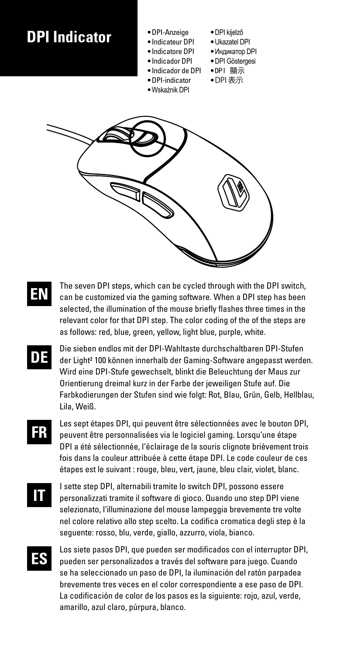### **DPI Indicator**

- DPI-Anzeige
- Indicateur DPI
- Indicatore DPI
	- Indicador DPI
	- Indicador de DPI
	- DPI-indicator • Wskaźnik DPI
- DPI kijelző
- Ukazatel DPI
- Индикатор DPI • DPI Göstergesi
- DPI 顯示
- DPI 表示
- 
- **EN**

The seven DPI steps, which can be cycled through with the DPI switch can be customized via the gaming software. When a DPI step has been selected, the illumination of the mouse briefly flashes three times in the relevant color for that DPI step. The color coding of the of the steps are as follows: red, blue, green, yellow, light blue, purple, white.

- **DE** Die sieben endlos mit der DPI-Wahltaste durchschaltbaren DPI-Stufen der Light² 100 können innerhalb der Gaming-Software angepasst werden. Wird eine DPI-Stufe gewechselt, blinkt die Beleuchtung der Maus zur Orientierung dreimal kurz in der Farbe der jeweiligen Stufe auf. Die Farbkodierungen der Stufen sind wie folgt: Rot, Blau, Grün, Gelb, Hellblau, Lila, Weiß.
- **FR** Les sept étapes DPI, qui peuvent être sélectionnées avec le bouton DPI, peuvent être personnalisées via le logiciel gaming. Lorsqu'une étape DPI a été sélectionnée, l'éclairage de la souris clignote brièvement trois fois dans la couleur attribuée à cette étape DPI. Le code couleur de ces étapes est le suivant : rouge, bleu, vert, jaune, bleu clair, violet, blanc.
- **IT**

I sette step DPI, alternabili tramite lo switch DPI, possono essere personalizzati tramite il software di gioco. Quando uno step DPI viene selezionato, l'illuminazione del mouse lampeggia brevemente tre volte nel colore relativo allo step scelto. La codifica cromatica degli step è la seguente: rosso, blu, verde, giallo, azzurro, viola, bianco.

**ES**

Los siete pasos DPI, que pueden ser modificados con el interruptor DPI, pueden ser personalizados a través del software para juego. Cuando se ha seleccionado un paso de DPI, la iluminación del ratón parpadea brevemente tres veces en el color correspondiente a ese paso de DPI. La codificación de color de los pasos es la siguiente: rojo, azul, verde, amarillo, azul claro, púrpura, blanco.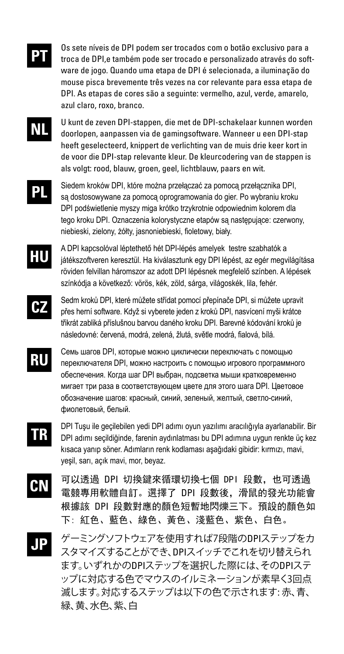

Os sete níveis de DPI podem ser trocados com o botão exclusivo para a troca de DPI,e também pode ser trocado e personalizado através do software de jogo. Quando uma etapa de DPI é selecionada, a iluminação do mouse pisca brevemente três vezes na cor relevante para essa etapa de DPI. As etapas de cores são a seguinte: vermelho, azul, verde, amarelo, azul claro, roxo, branco.

- **NL** U kunt de zeven DPI-stappen, die met de DPI-schakelaar kunnen worden doorlopen, aanpassen via de gamingsoftware. Wanneer u een DPI-stap heeft geselecteerd, knippert de verlichting van de muis drie keer kort in de voor die DPI-stap relevante kleur. De kleurcodering van de stappen is als volgt: rood, blauw, groen, geel, lichtblauw, paars en wit.
	- **PL** Siedem kroków DPI, które można przełączać za pomocą przełącznika DPI, są dostosowywane za pomocą oprogramowania do gier. Po wybraniu kroku DPI podświetlenie myszy miga krótko trzykrotnie odpowiednim kolorem dla tego kroku DPI. Oznaczenia kolorystyczne etapów są następujące: czerwony, niebieski, zielony, żółty, jasnoniebieski, fioletowy, biały.
- **HU** A DPI kapcsolóval léptethető hét DPI-lépés amelyek testre szabhatók a játékszoftveren keresztül. Ha kiválasztunk egy DPI lépést, az egér megvilágítása röviden felvillan háromszor az adott DPI lépésnek megfelelő színben. A lépések színkódja a következő: vörös, kék, zöld, sárga, világoskék, lila, fehér.
- **CZ** Sedm kroků DPI, které můžete střídat pomocí přepínače DPI, si můžete upravit přes herní software. Když si vyberete jeden z kroků DPI, nasvícení myši krátce třikrát zabliká příslušnou barvou daného kroku DPI. Barevné kódování kroků je následovné: červená, modrá, zelená, žlutá, světle modrá, fialová, bílá.
- **RU** Семь шагов DPI, которые можно циклически переключать с помощью переключателя DPI, можно настроить с помощью игрового программного обеспечения. Когда шаг DPI выбран, подсветка мыши кратковременно мигает три раза в соответствующем цвете для этого шага DPI. Цветовое обозначение шагов: красный, синий, зеленый, желтый, светло-синий, фиолетовый, белый.
- **TR** DPI Tuşu ile geçilebilen yedi DPI adımı oyun yazılımı aracılığıyla ayarlanabilir. Bir DPI adımı seçildiğinde, farenin aydınlatması bu DPI adımına uygun renkte üç kez kısaca yanıp söner. Adımların renk kodlaması aşağıdaki gibidir: kırmızı, mavi, yeşil, sarı, açık mavi, mor, beyaz.
- **CN** 可以透過 DPI 切換鍵來循環切換七個 DPI 段數,也可透過 電競專用軟體自訂。選擇了 DPI 段數後,滑鼠的發光功能會 根據該 DPI 段數對應的顏色短暫地閃爍三下。預設的顏色如 下: 紅色、藍色、綠色、黃色、淺藍色、紫色、白色。
- **JP** ゲーミングソフトウェアを使用すれば7段階のDPIステップをカ スタマイズすることができ、DPIスイッチでこれを切り替えられ ます。いずれかのDPIステップを選択した際には、そのDPIステ ップに対応する色でマウスのイルミネーションが素早く3回点 滅します。対応するステップは以下の色で示されます: 赤、青、 緑、黄、水色、紫、白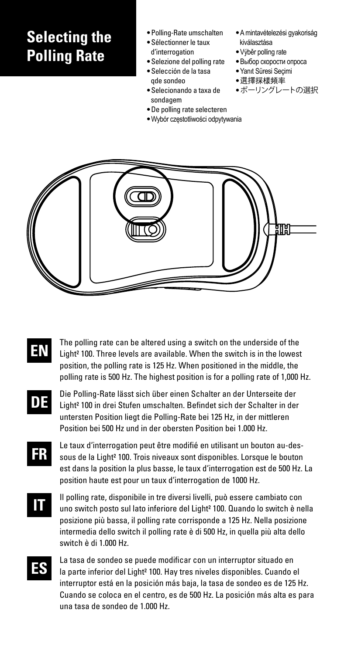### **Selecting the Polling Rate**

- Polling-Rate umschalten
- Sélectionner le taux d'interrogation
- Selezione del polling rate
- Selección de la tasa
- qde sondeo
- Selecionando a taxa de sondagem
- De polling rate selecteren
- Wybór częstotliwości odpytywania
- A mintavételezési gyakoriság kiválasztása
- Výběr polling rate
- Выбор скорости опроса
- Yanıt Süresi Seçimi
- 選擇採樣頻率
- ポーリングレートの選択



- **EN** The polling rate can be altered using a switch on the underside of the Light² 100. Three levels are available. When the switch is in the lowest position, the polling rate is 125 Hz. When positioned in the middle, the polling rate is 500 Hz. The highest position is for a polling rate of 1,000 Hz.
- **DE** Die Polling-Rate lässt sich über einen Schalter an der Unterseite der Light² 100 in drei Stufen umschalten. Befindet sich der Schalter in der untersten Position liegt die Polling-Rate bei 125 Hz, in der mittleren Position bei 500 Hz und in der obersten Position bei 1.000 Hz.
	- Le taux d'interrogation peut être modifié en utilisant un bouton au-dessous de la Light² 100. Trois niveaux sont disponibles. Lorsque le bouton est dans la position la plus basse, le taux d'interrogation est de 500 Hz. La position haute est pour un taux d'interrogation de 1000 Hz.
- **IT**

**FR**

Il polling rate, disponibile in tre diversi livelli, può essere cambiato con uno switch posto sul lato inferiore del Light² 100. Quando lo switch è nella posizione più bassa, il polling rate corrisponde a 125 Hz. Nella posizione intermedia dello switch il polling rate è di 500 Hz, in quella più alta dello switch è di 1.000 Hz.

**ES**

La tasa de sondeo se puede modificar con un interruptor situado en la parte inferior del Light<sup>2</sup> 100. Hay tres niveles disponibles. Cuando el interruptor está en la posición más baja, la tasa de sondeo es de 125 Hz. Cuando se coloca en el centro, es de 500 Hz. La posición más alta es para una tasa de sondeo de 1.000 Hz.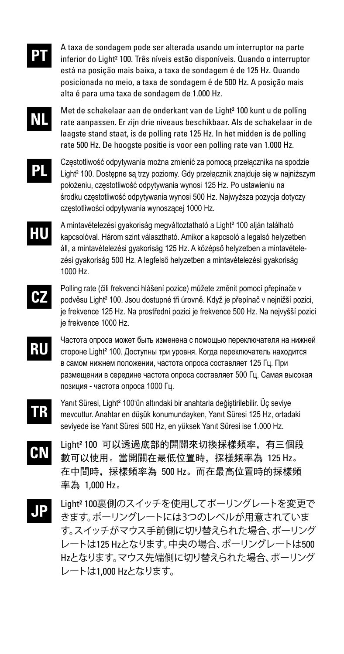

A taxa de sondagem pode ser alterada usando um interruptor na parte inferior do Light² 100. Três níveis estão disponíveis. Quando o interruptor está na posição mais baixa, a taxa de sondagem é de 125 Hz. Quando posicionada no meio, a taxa de sondagem é de 500 Hz. A posição mais alta é para uma taxa de sondagem de 1.000 Hz.

**NL**

Met de schakelaar aan de onderkant van de Light² 100 kunt u de polling rate aanpassen. Er zijn drie niveaus beschikbaar. Als de schakelaar in de laagste stand staat, is de polling rate 125 Hz. In het midden is de polling rate 500 Hz. De hoogste positie is voor een polling rate van 1.000 Hz.

**PL**

Częstotliwość odpytywania można zmienić za pomocą przełącznika na spodzie Light² 100. Dostępne są trzy poziomy. Gdy przełącznik znajduje się w najniższym położeniu, częstotliwość odpytywania wynosi 125 Hz. Po ustawieniu na środku częstotliwość odpytywania wynosi 500 Hz. Najwyższa pozycja dotyczy częstotliwości odpytywania wynoszącej 1000 Hz.

**HU**

A mintavételezési gyakoriság megváltoztatható a Light² 100 alján található kapcsolóval. Három szint választható. Amikor a kapcsoló a legalsó helyzetben áll, a mintavételezési gyakoriság 125 Hz. A középső helyzetben a mintavételezési gyakoriság 500 Hz. A legfelső helyzetben a mintavételezési gyakoriság 1000 Hz.

- **CZ** Polling rate (čili frekvenci hlášení pozice) můžete změnit pomocí přepínače v podvěsu Light² 100. Jsou dostupné tři úrovně. Když je přepínač v nejnižší pozici, je frekvence 125 Hz. Na prostřední pozici je frekvence 500 Hz. Na nejvyšší pozici je frekvence 1000 Hz.
- **RU** Частота опроса может быть изменена с помощью переключателя на нижней стороне Light² 100. Доступны три уровня. Когда переключатель находится в самом нижнем положении, частота опроса составляет 125 Гц. При размещении в середине частота опроса составляет 500 Гц. Самая высокая позиция - частота опроса 1000 Гц.
- **TR** Yanıt Süresi, Light<sup>2</sup> 100'ün altındaki bir anahtarla değiştirilebilir. Üç seviye mevcuttur. Anahtar en düşük konumundayken, Yanıt Süresi 125 Hz, ortadaki seviyede ise Yanıt Süresi 500 Hz, en yüksek Yanıt Süresi ise 1.000 Hz.
- **CN** Light² 100 可以透過底部的開關來切換採樣頻率,有三個段 數可以使用。當開關在最低位置時,採樣頻率為 125 Hz。 在中間時,採樣頻率為 500 Hz。而在最高位置時的採樣頻 率為 1,000 Hz。
- **JP** Light² 100裏側のスイッチを使用してポーリングレートを変更で きます。ポーリングレートには3つのレベルが用意されていま す。スイッチがマウス手前側に切り替えられた場合、ポーリング レートは125 Hzとなります。中央の場合、ポーリングレートは500 Hzとなります。マウス先端側に切り替えられた場合、ポーリング レートは1,000 Hzとなります。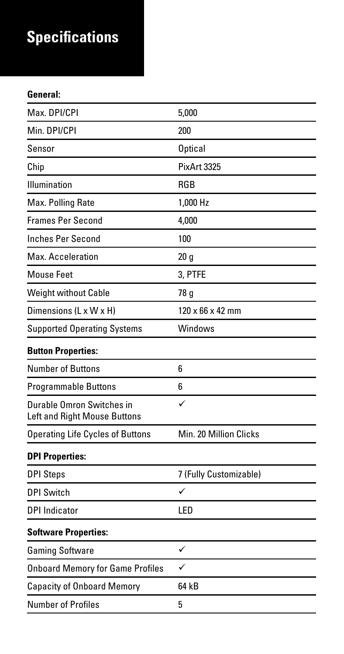## **Specifications**

#### **General:**

| Max. DPI/CPI                                              | 5.000                        |
|-----------------------------------------------------------|------------------------------|
| Min. DPI/CPI                                              | 200                          |
| Sensor                                                    | Optical                      |
| Chip                                                      | PixArt 3325                  |
| Illumination                                              | <b>RGB</b>                   |
| Max. Polling Rate                                         | 1.000 Hz                     |
| Frames Per Second                                         | 4,000                        |
| <b>Inches Per Second</b>                                  | 100                          |
| Max. Acceleration                                         | 20q                          |
| Mouse Feet                                                | 3, PTFE                      |
| Weight without Cable                                      | 78 g                         |
| Dimensions (L x W x H)                                    | $120 \times 66 \times 42$ mm |
| <b>Supported Operating Systems</b>                        | Windows                      |
| <b>Button Properties:</b>                                 |                              |
| Number of Buttons                                         | ĥ                            |
| Programmable Buttons                                      | 6                            |
| Durable Omron Switches in<br>Left and Right Mouse Buttons | ✓                            |
| <b>Operating Life Cycles of Buttons</b>                   | Min. 20 Million Clicks       |
| <b>DPI Properties:</b>                                    |                              |
| <b>DPI Steps</b>                                          | 7 (Fully Customizable)       |
| <b>DPI Switch</b>                                         | ✓                            |
| <b>DPI</b> Indicator                                      | <b>LED</b>                   |
| <b>Software Properties:</b>                               |                              |
| <b>Gaming Software</b>                                    | ✓                            |
| <b>Onboard Memory for Game Profiles</b>                   | ✓                            |
| Capacity of Onboard Memory                                | 64 kB                        |
| Number of Profiles                                        | 5                            |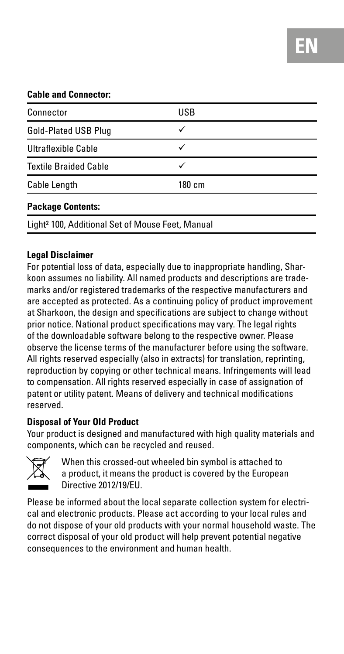#### **Cable and Connector:**

| Connector                                                    | USB |  |
|--------------------------------------------------------------|-----|--|
| Gold-Plated USB Plug                                         | ✓   |  |
| Ultraflexible Cable                                          |     |  |
| <b>Textile Braided Cable</b>                                 |     |  |
| <b>Cable Length</b><br>180 cm                                |     |  |
| <b>Package Contents:</b>                                     |     |  |
| Light <sup>2</sup> 100, Additional Set of Mouse Feet, Manual |     |  |

#### **Legal Disclaimer**

For potential loss of data, especially due to inappropriate handling, Sharkoon assumes no liability. All named products and descriptions are trademarks and/or registered trademarks of the respective manufacturers and are accepted as protected. As a continuing policy of product improvement at Sharkoon, the design and specifications are subject to change without prior notice. National product specifications may vary. The legal rights of the downloadable software belong to the respective owner. Please observe the license terms of the manufacturer before using the software. All rights reserved especially (also in extracts) for translation, reprinting reproduction by copying or other technical means. Infringements will lead to compensation. All rights reserved especially in case of assignation of patent or utility patent. Means of delivery and technical modifications reserved.

#### **Disposal of Your Old Product**

Your product is designed and manufactured with high quality materials and components, which can be recycled and reused.



 When this crossed-out wheeled bin symbol is attached to a product, it means the product is covered by the European Directive 2012/19/EU.

Please be informed about the local separate collection system for electrical and electronic products. Please act according to your local rules and do not dispose of your old products with your normal household waste. The correct disposal of your old product will help prevent potential negative consequences to the environment and human health.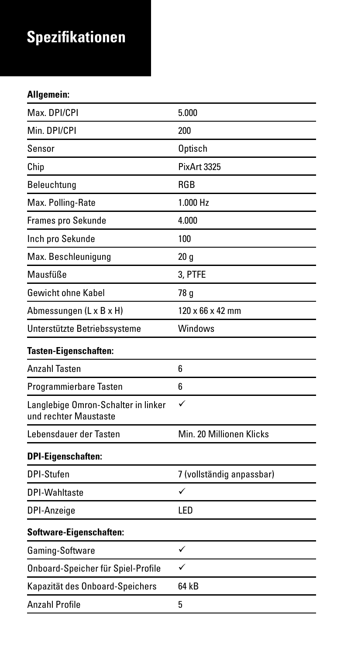## **Spezifikationen**

### **Allgemein:**

| Max. DPI/CPI                                                 | 5.000                        |
|--------------------------------------------------------------|------------------------------|
| Min. DPI/CPI                                                 | 200                          |
| Sensor                                                       | Optisch                      |
| Chip                                                         | PixArt 3325                  |
| Beleuchtung                                                  | <b>RGB</b>                   |
| Max. Polling-Rate                                            | 1.000 H <sub>z</sub>         |
| Frames pro Sekunde                                           | 4.000                        |
| Inch pro Sekunde                                             | 100                          |
| Max. Beschleunigung                                          | 20q                          |
| Mausfüße                                                     | 3, PTFE                      |
| Gewicht ohne Kabel                                           | 78 g                         |
| Abmessungen (L x B x H)                                      | $120 \times 66 \times 42$ mm |
| Unterstützte Betriebssysteme                                 | Windows                      |
| Tasten-Eigenschaften:                                        |                              |
| <b>Anzahl Tasten</b>                                         | ĥ                            |
| Programmierbare Tasten                                       | 6                            |
| Langlebige Omron-Schalter in linker<br>und rechter Maustaste | ✓                            |
| Lebensdauer der Tasten                                       | Min. 20 Millionen Klicks     |
| <b>DPI-Eigenschaften:</b>                                    |                              |
| DPI-Stufen                                                   | 7 (vollständig anpassbar)    |
| DPI-Wahltaste                                                | ✓                            |
| DPI-Anzeige                                                  | <b>LED</b>                   |
| Software-Eigenschaften:                                      |                              |
| Gaming-Software                                              | ✓                            |
| Onboard-Speicher für Spiel-Profile                           | ✓                            |
| Kapazität des Onboard-Speichers                              | 64 kB                        |
| Anzahl Profile                                               | 5                            |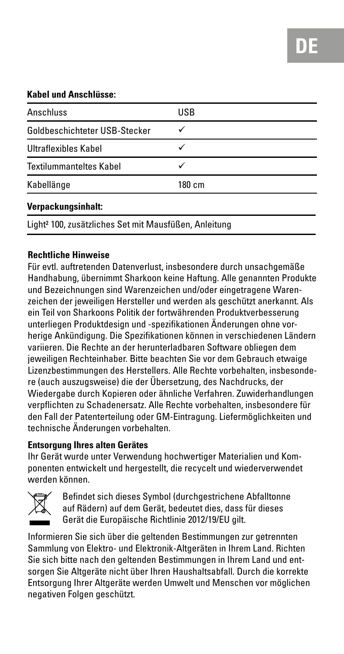#### **Kabel und Anschlüsse:**

| Anschluss                                                         | <b>USB</b> |
|-------------------------------------------------------------------|------------|
| Goldbeschichteter USB-Stecker                                     |            |
| Ultraflexibles Kabel                                              |            |
| <b>Textilummanteltes Kabel</b>                                    |            |
| Kabellänge                                                        | 180 cm     |
| Verpackungsinhalt:                                                |            |
| Light <sup>2</sup> 100, zusätzliches Set mit Mausfüßen, Anleitung |            |

#### **Rechtliche Hinweise**

Für evtl. auftretenden Datenverlust, insbesondere durch unsachgemäße Handhabung, übernimmt Sharkoon keine Haftung. Alle genannten Produkte und Bezeichnungen sind Warenzeichen und/oder eingetragene Warenzeichen der jeweiligen Hersteller und werden als geschützt anerkannt. Als ein Teil von Sharkoons Politik der fortwährenden Produktverbesserung unterliegen Produktdesign und -spezifikationen Änderungen ohne vorherige Ankündigung. Die Spezifikationen können in verschiedenen Ländern variieren. Die Rechte an der herunterladbaren Software obliegen dem jeweiligen Rechteinhaber. Bitte beachten Sie vor dem Gebrauch etwaige Lizenzbestimmungen des Herstellers. Alle Rechte vorbehalten, insbesondere (auch auszugsweise) die der Übersetzung, des Nachdrucks, der Wiedergabe durch Kopieren oder ähnliche Verfahren. Zuwiderhandlungen verpflichten zu Schadenersatz. Alle Rechte vorbehalten, insbesondere für den Fall der Patenterteilung oder GM-Eintragung. Liefermöglichkeiten und technische Änderungen vorbehalten.

#### **Entsorgung Ihres alten Gerätes**

Ihr Gerät wurde unter Verwendung hochwertiger Materialien und Komponenten entwickelt und hergestellt, die recycelt und wiederverwendet werden können.



 Befindet sich dieses Symbol (durchgestrichene Abfalltonne auf Rädern) auf dem Gerät, bedeutet dies, dass für dieses Gerät die Europäische Richtlinie 2012/19/EU gilt.

Informieren Sie sich über die geltenden Bestimmungen zur getrennten Sammlung von Elektro- und Elektronik-Altgeräten in Ihrem Land. Richten Sie sich bitte nach den geltenden Bestimmungen in Ihrem Land und entsorgen Sie Altgeräte nicht über Ihren Haushaltsabfall. Durch die korrekte Entsorgung Ihrer Altgeräte werden Umwelt und Menschen vor möglichen negativen Folgen geschützt.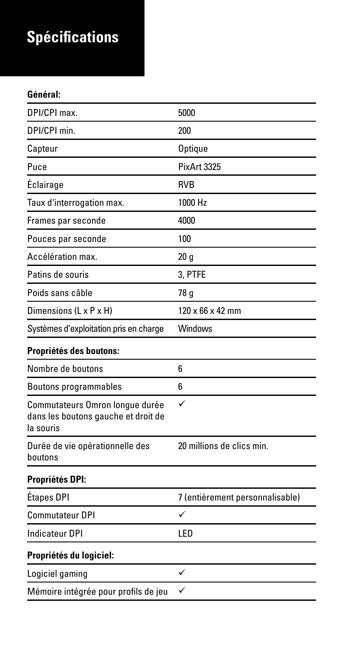## **Spécifications**

#### **Général:**

| DPI/CPI max.                                                                        | 5000                            |
|-------------------------------------------------------------------------------------|---------------------------------|
| DPI/CPI min.                                                                        | 200                             |
| Capteur                                                                             | Optique                         |
| Puce                                                                                | PixArt 3325                     |
| Éclairage                                                                           | <b>RVB</b>                      |
| Taux d'interrogation max.                                                           | 1000 Hz                         |
| Frames par seconde                                                                  | 4000                            |
| Pouces par seconde                                                                  | 100                             |
| Accélération max.                                                                   | 20q                             |
| Patins de souris                                                                    | 3. PTFE                         |
| Poids sans câble                                                                    | 78 g                            |
| Dimensions (L x P x H)                                                              | $120 \times 66 \times 42$ mm    |
| Systèmes d'exploitation pris en charge                                              | <b>Windows</b>                  |
| Propriétés des boutons:                                                             |                                 |
| Nombre de boutons                                                                   | 6                               |
| <b>Boutons programmables</b>                                                        | ĥ                               |
| Commutateurs Omron longue durée<br>dans les boutons gauche et droit de<br>la souris | ✓                               |
| Durée de vie opérationnelle des<br>houtons                                          | 20 millions de clics min        |
| Propriétés DPI:                                                                     |                                 |
| Étapes DPI                                                                          | 7 (entièrement personnalisable) |
| Commutateur DPI                                                                     | ✓                               |
| Indicateur DPI                                                                      | <b>LED</b>                      |
| Propriétés du logiciel:                                                             |                                 |
| Logiciel gaming                                                                     | ✓                               |
| Mémoire intégrée pour profils de jeu                                                | ✓                               |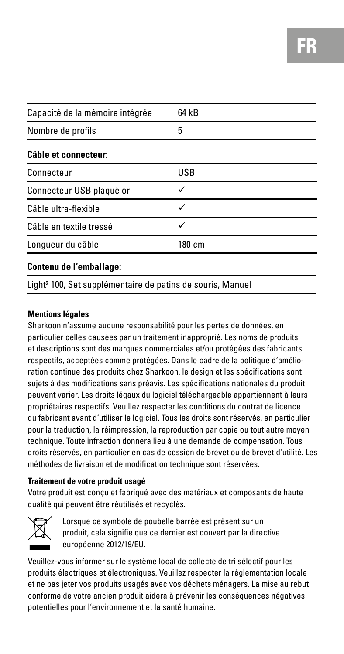| Capacité de la mémoire intégrée | 64 kB      |
|---------------------------------|------------|
| Nombre de profils               | 5          |
| Câble et connecteur:            |            |
| Connecteur                      | <b>USB</b> |
| Connecteur USB plaqué or        |            |
| Câble ultra-flexible            | ✓          |
| Câble en textile tressé         | ✓          |
| Longueur du câble               | 180 cm     |
|                                 |            |

#### **Contenu de l'emballage:**

Light² 100, Set supplémentaire de patins de souris, Manuel

#### **Mentions légales**

Sharkoon n'assume aucune responsabilité pour les pertes de données, en particulier celles causées par un traitement inapproprié. Les noms de produits et descriptions sont des marques commerciales et/ou protégées des fabricants respectifs, acceptées comme protégées. Dans le cadre de la politique d'amélioration continue des produits chez Sharkoon, le design et les spécifications sont sujets à des modifications sans préavis. Les spécifications nationales du produit peuvent varier. Les droits légaux du logiciel téléchargeable appartiennent à leurs propriétaires respectifs. Veuillez respecter les conditions du contrat de licence du fabricant avant d'utiliser le logiciel. Tous les droits sont réservés, en particulier pour la traduction, la réimpression, la reproduction par copie ou tout autre moyen technique. Toute infraction donnera lieu à une demande de compensation. Tous droits réservés, en particulier en cas de cession de brevet ou de brevet d'utilité. Les méthodes de livraison et de modification technique sont réservées.

#### **Traitement de votre produit usagé**

Votre produit est conçu et fabriqué avec des matériaux et composants de haute qualité qui peuvent être réutilisés et recyclés.



 Lorsque ce symbole de poubelle barrée est présent sur un produit, cela signifie que ce dernier est couvert par la directive européenne 2012/19/EU.

Veuillez-vous informer sur le système local de collecte de tri sélectif pour les produits électriques et électroniques. Veuillez respecter la réglementation locale et ne pas jeter vos produits usagés avec vos déchets ménagers. La mise au rebut conforme de votre ancien produit aidera à prévenir les conséquences négatives potentielles pour l'environnement et la santé humaine.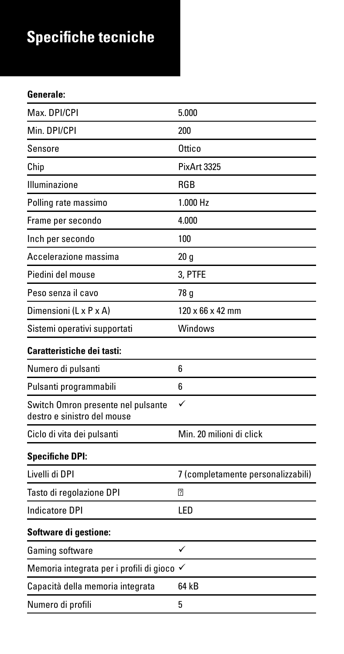## **Specifiche tecniche**

#### **Generale:**

| Max. DPI/CPI                                                      | 5.000                              |
|-------------------------------------------------------------------|------------------------------------|
| Min. DPI/CPI                                                      | 200                                |
| Sensore                                                           | Ottico                             |
| Chip                                                              | PixArt 3325                        |
| Illuminazione                                                     | <b>RGB</b>                         |
| Polling rate massimo                                              | 1.000 H <sub>z</sub>               |
| Frame per secondo                                                 | 4.000                              |
| Inch per secondo                                                  | 100                                |
| Accelerazione massima                                             | 20 q                               |
| Piedini del mouse                                                 | 3. PTFE                            |
| Peso senza il cavo                                                | 78 g                               |
| Dimensioni (L x P x A)                                            | $120 \times 66 \times 42$ mm       |
| Sistemi operativi supportati                                      | Windows                            |
| Caratteristiche dei tasti:                                        |                                    |
| Numero di pulsanti                                                | 6                                  |
| Pulsanti programmabili                                            | 6                                  |
| Switch Omron presente nel pulsante<br>destro e sinistro del mouse |                                    |
| Ciclo di vita dei pulsanti                                        | Min. 20 milioni di click           |
| <b>Specifiche DPI:</b>                                            |                                    |
| Livelli di DPI                                                    | 7 (completamente personalizzabili) |
| Tasto di regolazione DPI                                          |                                    |
| Indicatore DPI                                                    | <b>LED</b>                         |
| Software di gestione:                                             |                                    |
| Gaming software                                                   | ✓                                  |
| Memoria integrata per i profili di gioco √                        |                                    |
| Capacità della memoria integrata                                  | 64 kB                              |
| Numero di profili                                                 | 5                                  |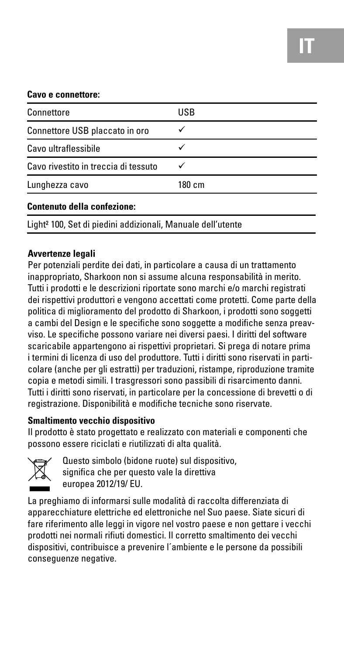#### **Cavo e connettore:**

| Connettore                           | <b>USB</b> |
|--------------------------------------|------------|
| Connettore USB placcato in oro       |            |
| Cavo ultraflessibile                 |            |
| Cavo rivestito in treccia di tessuto |            |
| Lunghezza cavo                       | 180 cm     |
| Contenuto della confezione:          |            |

Light² 100, Set di piedini addizionali, Manuale dell'utente

#### **Avvertenze legali**

Per potenziali perdite dei dati, in particolare a causa di un trattamento inappropriato, Sharkoon non si assume alcuna responsabilità in merito. Tutti i prodotti e le descrizioni riportate sono marchi e/o marchi registrati dei rispettivi produttori e vengono accettati come protetti. Come parte della politica di miglioramento del prodotto di Sharkoon, i prodotti sono soggetti a cambi del Design e le specifiche sono soggette a modifiche senza preavviso. Le specifiche possono variare nei diversi paesi. I diritti del software scaricabile appartengono ai rispettivi proprietari. Si prega di notare prima i termini di licenza di uso del produttore. Tutti i diritti sono riservati in particolare (anche per gli estratti) per traduzioni, ristampe, riproduzione tramite copia e metodi simili. I trasgressori sono passibili di risarcimento danni. Tutti i diritti sono riservati, in particolare per la concessione di brevetti o di registrazione. Disponibilità e modifiche tecniche sono riservate.

#### **Smaltimento vecchio dispositivo**

Il prodotto è stato progettato e realizzato con materiali e componenti che possono essere riciclati e riutilizzati di alta qualità.



 Questo simbolo (bidone ruote) sul dispositivo, significa che per questo vale la direttiva europea 2012/19/ EU.

La preghiamo di informarsi sulle modalità di raccolta differenziata di apparecchiature elettriche ed elettroniche nel Suo paese. Siate sicuri di fare riferimento alle leggi in vigore nel vostro paese e non gettare i vecchi prodotti nei normali rifiuti domestici. Il corretto smaltimento dei vecchi dispositivi, contribuisce a prevenire l´ambiente e le persone da possibili conseguenze negative.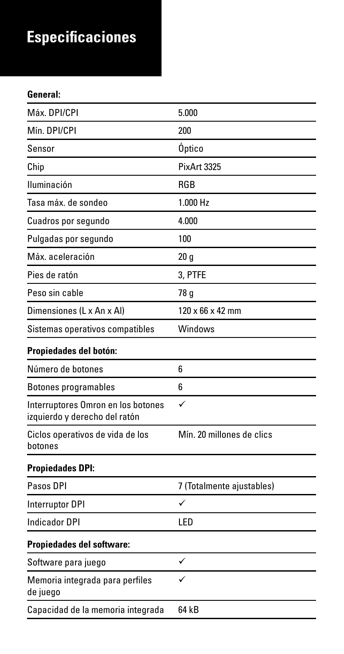## **Especificaciones**

#### **General:**

| Máx. DPI/CPI                                                        | 5.000                        |
|---------------------------------------------------------------------|------------------------------|
| Mín. DPI/CPI                                                        | 200                          |
| Sensor                                                              | Óptico                       |
| Chip                                                                | PixArt 3325                  |
| Iluminación                                                         | <b>RGB</b>                   |
| Tasa máx, de sondeo                                                 | 1.000 Hz                     |
| Cuadros por segundo                                                 | 4.000                        |
| Pulgadas por segundo                                                | 100                          |
| Máx. aceleración                                                    | 20q                          |
| Pies de ratón                                                       | 3. PTFE                      |
| Peso sin cable                                                      | 78 g                         |
| Dimensiones (L x An x Al)                                           | $120 \times 66 \times 42$ mm |
| Sistemas operativos compatibles                                     | Windows                      |
| Propiedades del botón:                                              |                              |
| Número de botones                                                   | 6                            |
| Botones programables                                                | 6                            |
| Interruptores Omron en los botones<br>izquierdo y derecho del ratón | ✓                            |
| Ciclos operativos de vida de los<br>botones                         | Mín. 20 millones de clics    |
| <b>Propiedades DPI:</b>                                             |                              |
| Pasos DPI                                                           | 7 (Totalmente ajustables)    |
| Interruptor DPI                                                     | ✓                            |
| Indicador DPI                                                       | I FD                         |
| Propiedades del software:                                           |                              |
| Software para juego                                                 | ✓                            |
| Memoria integrada para perfiles<br>de juego                         |                              |
| Capacidad de la memoria integrada                                   | 64 kB                        |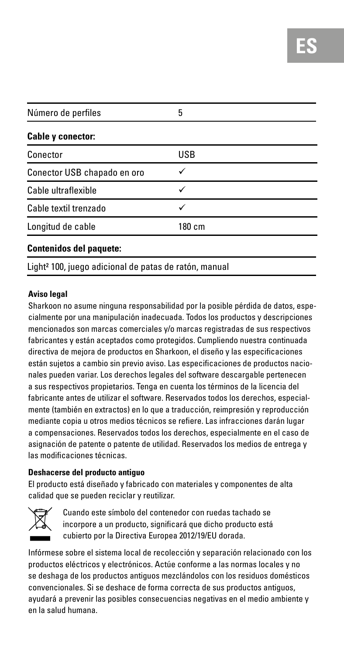| Número de perfiles                                                | 5          |  |
|-------------------------------------------------------------------|------------|--|
| Cable y conector:                                                 |            |  |
| Conector                                                          | <b>USB</b> |  |
| Conector USB chapado en oro                                       | ✓          |  |
| Cable ultraflexible                                               | ✓          |  |
| Cable textil trenzado                                             | ✓          |  |
| Longitud de cable                                                 | 180 cm     |  |
| Contenidos del paquete:                                           |            |  |
| Light <sup>2</sup> 100, juego adicional de patas de ratón, manual |            |  |

#### **Aviso legal**

Sharkoon no asume ninguna responsabilidad por la posible pérdida de datos, especialmente por una manipulación inadecuada. Todos los productos y descripciones mencionados son marcas comerciales y/o marcas registradas de sus respectivos fabricantes y están aceptados como protegidos. Cumpliendo nuestra continuada directiva de mejora de productos en Sharkoon, el diseño y las especificaciones están sujetos a cambio sin previo aviso. Las especificaciones de productos nacionales pueden variar. Los derechos legales del software descargable pertenecen a sus respectivos propietarios. Tenga en cuenta los términos de la licencia del fabricante antes de utilizar el software. Reservados todos los derechos, especialmente (también en extractos) en lo que a traducción, reimpresión y reproducción mediante copia u otros medios técnicos se refiere. Las infracciones darán lugar a compensaciones. Reservados todos los derechos, especialmente en el caso de asignación de patente o patente de utilidad. Reservados los medios de entrega y las modificaciones técnicas.

#### **Deshacerse del producto antiguo**

El producto está diseñado y fabricado con materiales y componentes de alta calidad que se pueden reciclar y reutilizar.



 Cuando este símbolo del contenedor con ruedas tachado se incorpore a un producto, significará que dicho producto está cubierto por la Directiva Europea 2012/19/EU dorada.

Infórmese sobre el sistema local de recolección y separación relacionado con los productos eléctricos y electrónicos. Actúe conforme a las normas locales y no se deshaga de los productos antiguos mezclándolos con los residuos domésticos convencionales. Si se deshace de forma correcta de sus productos antiguos, ayudará a prevenir las posibles consecuencias negativas en el medio ambiente y en la salud humana.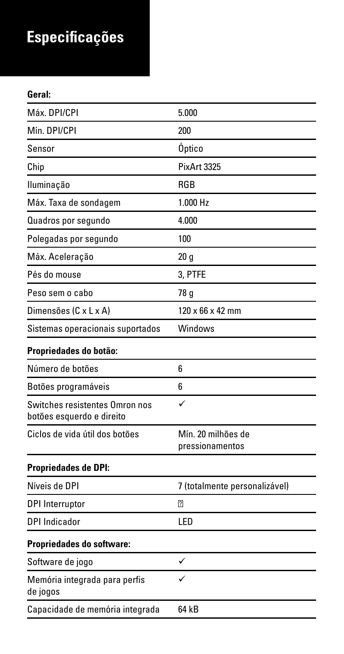## **Especificações**

### **Geral:**

| Máx. DPI/CPI                                                | 5.000                                 |
|-------------------------------------------------------------|---------------------------------------|
| Mín. DPI/CPI                                                | 200                                   |
| Sensor                                                      | Óptico                                |
| Chip                                                        | PixArt 3325                           |
| Iluminação                                                  | <b>RGB</b>                            |
| Máx. Taxa de sondagem                                       | 1.000 H <sub>z</sub>                  |
| Quadros por segundo                                         | 4.000                                 |
| Polegadas por segundo                                       | 100                                   |
| Máx. Aceleração                                             | 20 <sub>g</sub>                       |
| Pés do mouse                                                | 3. PTFE                               |
| Peso sem o cabo                                             | 78 g                                  |
| Dimensões (C x L x A)                                       | $120 \times 66 \times 42$ mm          |
| Sistemas operacionais suportados                            | Windows                               |
| Propriedades do botão:                                      |                                       |
| Número de botões                                            | 6                                     |
| Botões programáveis                                         | 6                                     |
| Switches resistentes Omron nos<br>botões esquerdo e direito | ✓                                     |
| Ciclos de vida útil dos botões                              | Mín. 20 milhões de<br>pressionamentos |
| Propriedades de DPI:                                        |                                       |
| Níveis de DPI                                               | 7 (totalmente personalizável)         |
| <b>DPI</b> Interruptor                                      |                                       |
| DPI Indicador                                               | <b>LED</b>                            |
| Propriedades do software:                                   |                                       |
| Software de jogo                                            | ✓                                     |
| Memória integrada para perfis<br>de jogos                   |                                       |
| Capacidade de memória integrada                             | 64 kB                                 |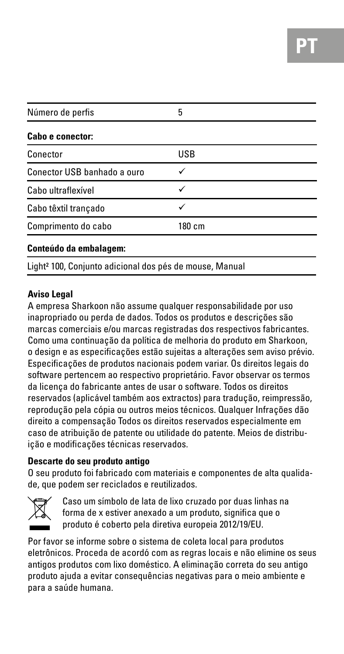| Número de perfis            | 5      |
|-----------------------------|--------|
| <b>Cabo e conector:</b>     |        |
| Conector                    | USB    |
| Conector USB banhado a ouro |        |
| Cabo ultraflexível          | ✓      |
| Cabo têxtil trançado        |        |
| Comprimento do cabo         | 180 cm |
| Conteúdo da embalagem:      |        |

Light² 100, Conjunto adicional dos pés de mouse, Manual

#### **Aviso Legal**

A empresa Sharkoon não assume qualquer responsabilidade por uso inapropriado ou perda de dados. Todos os produtos e descrições são marcas comerciais e/ou marcas registradas dos respectivos fabricantes. Como uma continuação da política de melhoria do produto em Sharkoon, o design e as especificações estão sujeitas a alterações sem aviso prévio. Especificações de produtos nacionais podem variar. Os direitos legais do software pertencem ao respectivo proprietário. Favor observar os termos da licença do fabricante antes de usar o software. Todos os direitos reservados (aplicável também aos extractos) para tradução, reimpressão, reprodução pela cópia ou outros meios técnicos. Qualquer Infrações dão direito a compensação Todos os direitos reservados especialmente em caso de atribuição de patente ou utilidade do patente. Meios de distribuição e modificações técnicas reservados.

#### **Descarte do seu produto antigo**

O seu produto foi fabricado com materiais e componentes de alta qualidade, que podem ser reciclados e reutilizados.



 Caso um símbolo de lata de lixo cruzado por duas linhas na forma de x estiver anexado a um produto, significa que o produto é coberto pela diretiva europeia 2012/19/EU.

Por favor se informe sobre o sistema de coleta local para produtos eletrônicos. Proceda de acordó com as regras locais e não elimine os seus antigos produtos com lixo doméstico. A eliminação correta do seu antigo produto ajuda a evitar consequências negativas para o meio ambiente e para a saúde humana.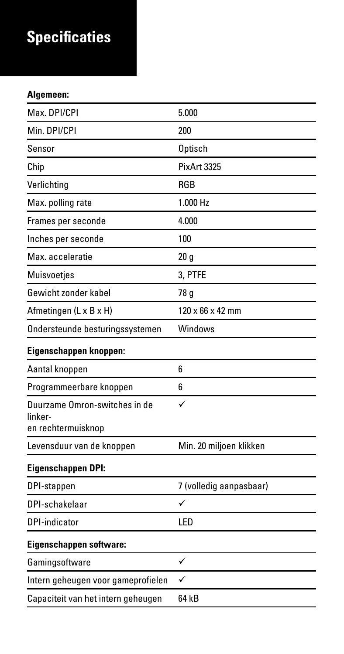## **Specificaties**

#### **Algemeen:**

| Max. DPI/CPI                                                   | 5.000                        |
|----------------------------------------------------------------|------------------------------|
| Min. DPI/CPI                                                   | 200                          |
| Sensor                                                         | Optisch                      |
| Chip                                                           | PixArt 3325                  |
| Verlichting                                                    | <b>RGB</b>                   |
| Max. polling rate                                              | 1.000 Hz                     |
| Frames per seconde                                             | 4.000                        |
| Inches per seconde                                             | 100                          |
| Max. acceleratie                                               | 20q                          |
| <b>Muisvoeties</b>                                             | 3. PTFE                      |
| Gewicht zonder kabel                                           | 78 g                         |
| Afmetingen (L x B x H)                                         | $120 \times 66 \times 42$ mm |
| Ondersteunde besturingssystemen                                | Windows                      |
| Eigenschappen knoppen:                                         |                              |
| Aantal knoppen                                                 | 6                            |
| Programmeerbare knoppen                                        | 6                            |
| Duurzame Omron-switches in de<br>linker-<br>en rechtermuisknop | ✓                            |
| Levensduur van de knoppen                                      | Min. 20 miljoen klikken      |
| Eigenschappen DPI:                                             |                              |
| DPI-stappen                                                    | 7 (volledig aanpasbaar)      |
| DPI-schakelaar                                                 | ✓                            |
| DPI-indicator                                                  | I <sub>FD</sub>              |
| Eigenschappen software:                                        |                              |
| Gamingsoftware                                                 | ✓                            |
| Intern geheugen voor gameprofielen                             | ✓                            |
| Capaciteit van het intern geheugen                             | 64 kB                        |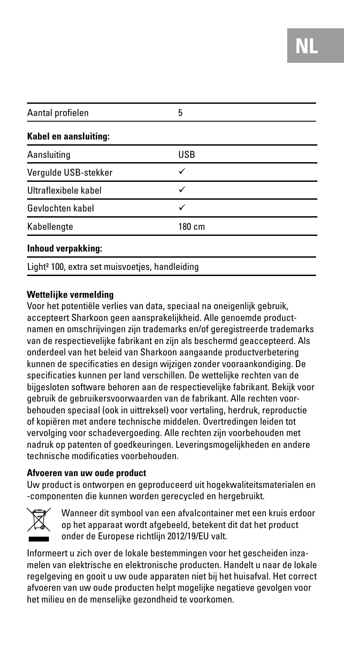| Aantal profielen                                           | 5          |  |
|------------------------------------------------------------|------------|--|
| Kabel en aansluiting:                                      |            |  |
| Aansluiting                                                | <b>USB</b> |  |
| Vergulde USB-stekker                                       |            |  |
| Ultraflexibele kabel                                       | ✓          |  |
| Gevlochten kabel                                           | ✓          |  |
| Kabellengte                                                | 180 cm     |  |
| Inhoud verpakking:                                         |            |  |
| Light <sup>2</sup> 100, extra set muisvoetjes, handleiding |            |  |

#### **Wettelijke vermelding**

Voor het potentiële verlies van data, speciaal na oneigenlijk gebruik, accepteert Sharkoon geen aansprakelijkheid. Alle genoemde productnamen en omschrijvingen zijn trademarks en/of geregistreerde trademarks van de respectievelijke fabrikant en zijn als beschermd geaccepteerd. Als onderdeel van het beleid van Sharkoon aangaande productverbetering kunnen de specificaties en design wijzigen zonder vooraankondiging. De specificaties kunnen per land verschillen. De wettelijke rechten van de bijgesloten software behoren aan de respectievelijke fabrikant. Bekijk voor gebruik de gebruikersvoorwaarden van de fabrikant. Alle rechten voorbehouden speciaal (ook in uittreksel) voor vertaling, herdruk, reproductie of kopiëren met andere technische middelen. Overtredingen leiden tot vervolging voor schadevergoeding. Alle rechten zijn voorbehouden met nadruk op patenten of goedkeuringen. Leveringsmogelijkheden en andere technische modificaties voorbehouden.

#### **Afvoeren van uw oude product**

Uw product is ontworpen en geproduceerd uit hogekwaliteitsmaterialen en -componenten die kunnen worden gerecycled en hergebruikt.



 Wanneer dit symbool van een afvalcontainer met een kruis erdoor op het apparaat wordt afgebeeld, betekent dit dat het product onder de Europese richtlijn 2012/19/EU valt.

Informeert u zich over de lokale bestemmingen voor het gescheiden inzamelen van elektrische en elektronische producten. Handelt u naar de lokale regelgeving en gooit u uw oude apparaten niet bij het huisafval. Het correct afvoeren van uw oude producten helpt mogelijke negatieve gevolgen voor het milieu en de menselijke gezondheid te voorkomen.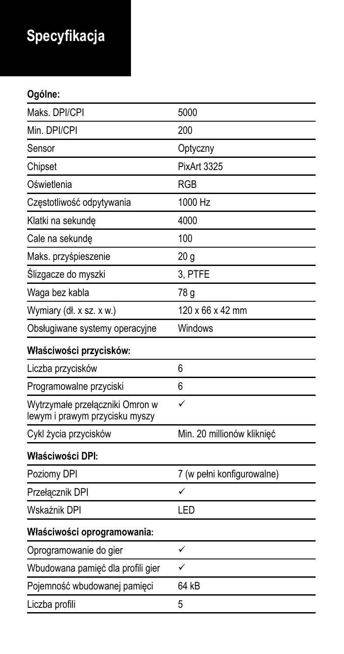# **Specyfikacja**

### **Ogólne:**

| Maks. DPI/CPI                                                     | 5000                       |
|-------------------------------------------------------------------|----------------------------|
| Min. DPI/CPI                                                      | 200                        |
| Sensor                                                            | Optyczny                   |
| Chipset                                                           | PixArt 3325                |
| Oświetlenia                                                       | <b>RGB</b>                 |
| Czestotliwość odpytywania                                         | 1000 Hz                    |
| Klatki na sekunde                                                 | 4000                       |
| Cale na sekunde                                                   | 100                        |
| Maks. przyśpieszenie                                              | 20 <sub>g</sub>            |
| Ślizgacze do myszki                                               | 3. PTFE                    |
| Waga bez kabla                                                    | 78 g                       |
| Wymiary (dł. x sz. x w.)                                          | 120 x 66 x 42 mm           |
| Obsługiwane systemy operacyjne                                    | Windows                    |
| Właściwości przycisków:                                           |                            |
| Liczba przycisków                                                 | ĥ                          |
| Programowalne przyciski                                           | 6                          |
| Wytrzymałe przełączniki Omron w<br>lewym i prawym przycisku myszy | ✓                          |
| Cykl życia przycisków                                             | Min. 20 millionów kliknięć |
| Właściwości DPI:                                                  |                            |
| Poziomy DPI                                                       | 7 (w pełni konfigurowalne) |
| Przełącznik DPI                                                   | J                          |
| Wskaźnik DPI                                                      | LED                        |
| Właściwości oprogramowania:                                       |                            |
| Oprogramowanie do gier                                            | ✓                          |
| Wbudowana pamięć dla profili gier                                 | ✓                          |
| Pojemność wbudowanej pamieci                                      | 64 kB                      |
| Liczba profili                                                    | 5                          |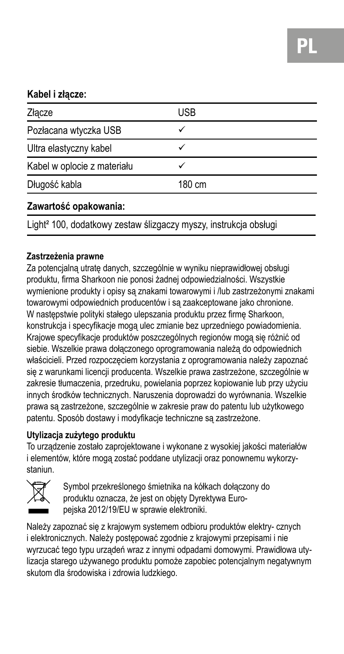#### **Kabel i złącze:**

| Złacze                                                                       | <b>USB</b> |
|------------------------------------------------------------------------------|------------|
| Pozłacana wtyczka USB                                                        |            |
| Ultra elastyczny kabel                                                       |            |
| Kabel w oplocie z materiału                                                  |            |
| Długość kabla                                                                | 180 cm     |
| Zawartość opakowania:                                                        |            |
| Light <sup>2</sup> 100, dodatkowy zestaw ślizgaczy myszy, instrukcja obsługi |            |

#### **Zastrzeżenia prawne**

Za potencjalną utratę danych, szczególnie w wyniku nieprawidłowej obsługi produktu, firma Sharkoon nie ponosi żadnej odpowiedzialności. Wszystkie wymienione produkty i opisy są znakami towarowymi i /lub zastrzeżonymi znakami towarowymi odpowiednich producentów i są zaakceptowane jako chronione. W następstwie polityki stałego ulepszania produktu przez firmę Sharkoon, konstrukcja i specyfikacje mogą ulec zmianie bez uprzedniego powiadomienia. Krajowe specyfikacje produktów poszczególnych regionów mogą się różnić od siebie. Wszelkie prawa dołączonego oprogramowania należą do odpowiednich właścicieli. Przed rozpoczęciem korzystania z oprogramowania należy zapoznać się z warunkami licencji producenta. Wszelkie prawa zastrzeżone, szczególnie w zakresie tłumaczenia, przedruku, powielania poprzez kopiowanie lub przy użyciu innych środków technicznych. Naruszenia doprowadzi do wyrównania. Wszelkie prawa są zastrzeżone, szczególnie w zakresie praw do patentu lub użytkowego patentu. Sposób dostawy i modyfikacje techniczne są zastrzeżone.

### **Utylizacja zużytego produktu**

To urządzenie zostało zaprojektowane i wykonane z wysokiej jakości materiałów i elementów, które mogą zostać poddane utylizacji oraz ponownemu wykorzystaniun.



Symbol przekreślonego śmietnika na kółkach dołączony do produktu oznacza, że jest on objęty Dyrektywa Europejska 2012/19/EU w sprawie elektroniki.

Należy zapoznać się z krajowym systemem odbioru produktów elektry- cznych i elektronicznych. Należy postępować zgodnie z krajowymi przepisami i nie wyrzucać tego typu urządeń wraz z innymi odpadami domowymi. Prawidłowa utylizacja starego używanego produktu pomoże zapobiec potencjalnym negatywnym skutom dla środowiska i zdrowia ludzkiego.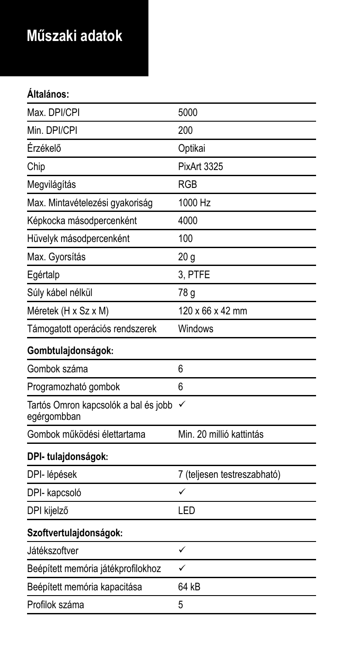### **Műszaki adatok**

### **Általános:**

| Max. DPI/CPI                                        | 5000                        |
|-----------------------------------------------------|-----------------------------|
| Min. DPI/CPI                                        | 200                         |
| Érzékelő                                            | Optikai                     |
| Chip                                                | PixArt 3325                 |
| Megvilágítás                                        | <b>RGB</b>                  |
| Max. Mintavételezési gyakoriság                     | 1000 Hz                     |
| Képkocka másodpercenként                            | 4000                        |
| Hüvelyk másodpercenként                             | 100                         |
| Max. Gyorsítás                                      | 20 <sub>g</sub>             |
| Egértalp                                            | 3. PTFE                     |
| Súly kábel nélkül                                   | 78 g                        |
| Méretek (H x Sz x M)                                | 120 x 66 x 42 mm            |
| Támogatott operációs rendszerek                     | Windows                     |
| Gombtulajdonságok:                                  |                             |
| Gombok száma                                        | 6                           |
| Programozható gombok                                | 6                           |
| Tartós Omron kapcsolók a bal és jobb<br>egérgombban | ✓                           |
| Gombok működési élettartama                         | Min. 20 millió kattintás    |
| DPI- tulajdonságok:                                 |                             |
| DPI- lépések                                        | 7 (teljesen testreszabható) |
| DPI- kapcsoló                                       | ✓                           |
| DPI kijelző                                         | LED                         |
| Szoftvertulajdonságok:                              |                             |
| Játékszoftver                                       | ✓                           |
| Beépített memória játékprofilokhoz                  | ✓                           |
| Beépített memória kapacitása                        | 64 kB                       |
| Profilok száma                                      | 5                           |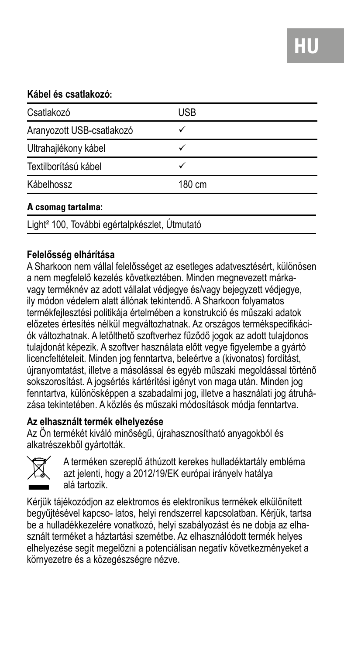#### **Kábel és csatlakozó:**

| Csatlakozó                                                | <b>USB</b> |  |
|-----------------------------------------------------------|------------|--|
| Aranyozott USB-csatlakozó                                 |            |  |
| Ultrahajlékony kábel                                      | ✓          |  |
| Textilborítású kábel                                      |            |  |
| Kábelhossz                                                | 180 cm     |  |
| A csomag tartalma:                                        |            |  |
| Light <sup>2</sup> 100, További egértalpkészlet, Útmutató |            |  |

#### **Felelősség elhárítása**

A Sharkoon nem vállal felelősséget az esetleges adatvesztésért, különösen a nem megfelelő kezelés következtében. Minden megnevezett márkavagy terméknév az adott vállalat védjegye és/vagy bejegyzett védjegye, ily módon védelem alatt állónak tekintendő. A Sharkoon folyamatos termékfejlesztési politikája értelmében a konstrukció és műszaki adatok előzetes értesítés nélkül megváltozhatnak. Az országos termékspecifikációk változhatnak. A letölthető szoftverhez fűződő jogok az adott tulajdonos tulajdonát képezik. A szoftver használata előtt vegye figyelembe a gyártó licencfeltételeit. Minden jog fenntartva, beleértve a (kivonatos) fordítást, újranyomtatást, illetve a másolással és egyéb műszaki megoldással történő sokszorosítást. A jogsértés kártérítési igényt von maga után. Minden jog fenntartva, különösképpen a szabadalmi jog, illetve a használati jog átruházása tekintetében. A közlés és műszaki módosítások módja fenntartva.

#### **Az elhasznált termék elhelyezése**

Az Ön termékét kiváló minőségű, újrahasznosítható anyagokból és alkatrészekből gyártották.



A terméken szereplő áthúzott kerekes hulladéktartály embléma azt jelenti, hogy a 2012/19/EK európai irányelv hatálya alá tartozik.

Kérjük tájékozódjon az elektromos és elektronikus termékek elkülönített begyűjtésével kapcso- latos, helyi rendszerrel kapcsolatban. Kérjük, tartsa be a hulladékkezelére vonatkozó, helyi szabályozást és ne dobja az elhasznált terméket a háztartási szemétbe. Az elhasználódott termék helyes elhelyezése segít megelőzni a potenciálisan negatív következményeket a környezetre és a közegészségre nézve.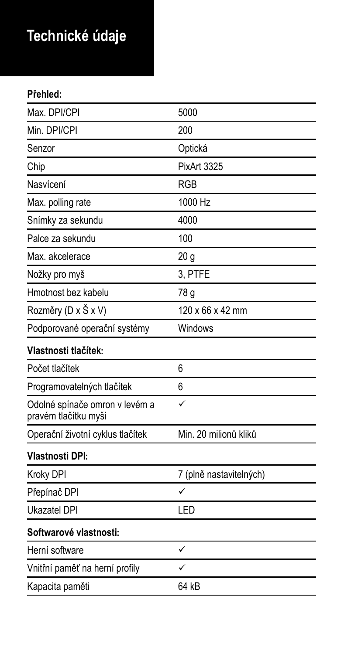## **Technické údaje**

### **Přehled:**

| Max. DPI/CPI                                           | 5000                    |
|--------------------------------------------------------|-------------------------|
| Min. DPI/CPI                                           | 200                     |
| Senzor                                                 | Optická                 |
| Chip                                                   | PixArt 3325             |
| Nasvícení                                              | <b>RGB</b>              |
| Max. polling rate                                      | 1000 Hz                 |
| Snímky za sekundu                                      | 4000                    |
| Palce za sekundu                                       | 100                     |
| Max. akcelerace                                        | 20 <sub>g</sub>         |
| Nožky pro myš                                          | 3. PTFE                 |
| Hmotnost bez kabelu                                    | 78 g                    |
| Rozměry (D x Š x V)                                    | 120 x 66 x 42 mm        |
| Podporované operační systémy                           | Windows                 |
| Vlastnosti tlačítek:                                   |                         |
| Počet tlačítek                                         | 6                       |
| Programovatelných tlačítek                             | 6                       |
| Odolné spínače omron v levém a<br>pravém tlačítku myši | ✓                       |
| Operační životní cyklus tlačítek                       | Min. 20 milionů kliků   |
| <b>Vlastnosti DPI:</b>                                 |                         |
| Kroky DPI                                              | 7 (plně nastavitelných) |
| Přepínač DPI                                           | ✓                       |
| Ukazatel DPI                                           | LED                     |
| Softwarové vlastnosti:                                 |                         |
| Herní software                                         | ✓                       |
| Vnitřní paměť na herní profily                         | ✓                       |
| Kapacita paměti                                        | 64 kB                   |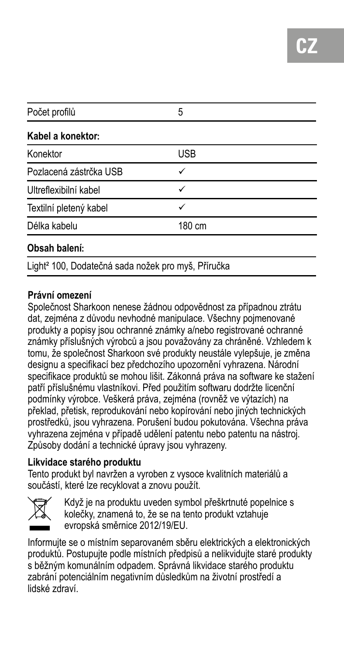| Počet profilů          | 5      |  |
|------------------------|--------|--|
| Kabel a konektor:      |        |  |
| Konektor               | USB    |  |
| Pozlacená zástrčka USB | ✓      |  |
| Ultreflexibilní kabel  | ✓      |  |
| Textilní pletený kabel | ✓      |  |
| Délka kabelu           | 180 cm |  |
| Obsah balení:          |        |  |

Light² 100, Dodatečná sada nožek pro myš, Příručka

#### **Právní omezení**

Společnost Sharkoon nenese žádnou odpovědnost za případnou ztrátu dat, zejména z důvodu nevhodné manipulace. Všechny pojmenované produkty a popisy jsou ochranné známky a/nebo registrované ochranné známky příslušných výrobců a jsou považovány za chráněné. Vzhledem k tomu, že společnost Sharkoon své produkty neustále vylepšuje, je změna designu a specifikací bez předchozího upozornění vyhrazena. Národní specifikace produktů se mohou lišit. Zákonná práva na software ke stažení patří příslušnému vlastníkovi. Před použitím softwaru dodržte licenční podmínky výrobce. Veškerá práva, zejména (rovněž ve výtazích) na překlad, přetisk, reprodukování nebo kopírování nebo jiných technických prostředků, jsou vyhrazena. Porušení budou pokutována. Všechna práva vyhrazena zejména v případě udělení patentu nebo patentu na nástroj. Způsoby dodání a technické úpravy jsou vyhrazeny.

### **Likvidace starého produktu**

Tento produkt byl navržen a vyroben z vysoce kvalitních materiálů a součástí, které lze recyklovat a znovu použít.



Když je na produktu uveden symbol přeškrtnuté popelnice s kolečky, znamená to, že se na tento produkt vztahuje evropská směrnice 2012/19/EU.

Informujte se o místním separovaném sběru elektrických a elektronických produktů. Postupujte podle místních předpisů a nelikvidujte staré produkty s běžným komunálním odpadem. Správná likvidace starého produktu zabrání potenciálním negativním důsledkům na životní prostředí a lidské zdraví.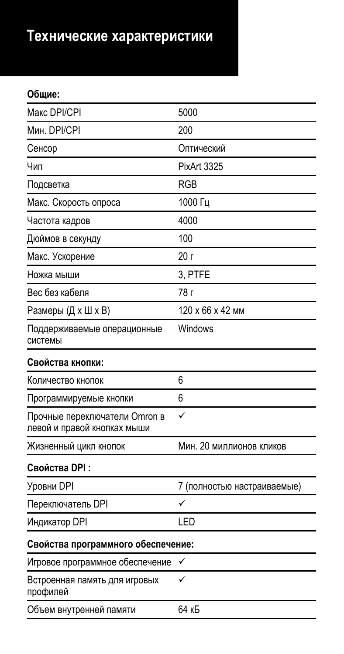### **Технические характеристики**

### **Общие:**

| Макс DPI/CPI                                                 | 5000                        |
|--------------------------------------------------------------|-----------------------------|
| Мин. DPI/CPI                                                 | 200                         |
| Сенсор                                                       | Оптический                  |
| Чип                                                          | PixArt 3325                 |
| Подсветка                                                    | <b>RGB</b>                  |
| Макс. Скорость опроса                                        | 1000 Гц                     |
| Частота кадров                                               | 4000                        |
| Дюймов в секунду                                             | 100                         |
| Макс. Ускорение                                              | 20r                         |
| Ножка мыши                                                   | 3. PTFE                     |
| Вес без кабеля                                               | 78 г                        |
| Размеры (Д х Ш х В)                                          | 120 x 66 x 42 MM            |
| Поддерживаемые операционные<br>системы                       | Windows                     |
| Свойства кнопки:                                             |                             |
| Количество кнопок                                            | 6                           |
| Программируемые кнопки                                       | 6                           |
| Прочные переключатели Omron в<br>левой и правой кнопках мыши | ✓                           |
| Жизненный цикл кнопок                                        | Мин. 20 миллионов кликов    |
| Свойства DPI:                                                |                             |
| Уровни DPI                                                   | 7 (полностью настраиваемые) |
| Переключатель DPI                                            | ✓                           |
| Индикатор DPI                                                | LED                         |
| Свойства программного обеспечение:                           |                             |
| Игровое программное обеспечение                              | ✓                           |
| Встроенная память для игровых<br>профилей                    | ✓                           |
| Объем внутренней памяти                                      | 64 кБ                       |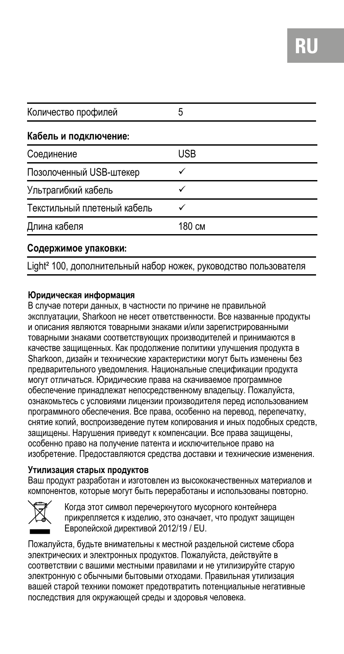| Количество профилей         | 5      |  |
|-----------------------------|--------|--|
| Кабель и подключение:       |        |  |
| Соединение                  | USB    |  |
| Позолоченный USB-штекер     |        |  |
| Ультрагибкий кабель         |        |  |
| Текстильный плетеный кабель |        |  |
| Длина кабеля                | 180 см |  |

#### **Содержимое упаковки:**

light<sup>2</sup> 100, дополнительный набор ножек, руководство пользователя

#### **Юридическая информация**

В случае потери данных, в частности по причине не правильной эксплуатации, Sharkoon не несет ответственности. Все названные продукты и описания являются товарными знаками и/или зарегистрированными товарными знаками соответствующих производителей и принимаются в качестве защищенных. Как продолжение политики улучшения продукта в Sharkoon, дизайн и технические характеристики могут быть изменены без предварительного уведомления. Национальные спецификации продукта могут отличаться. Юридические права на скачиваемое программное обеспечение принадлежат непосредственному владельцу. Пожалуйста, ознакомьтесь с условиями лицензии производителя перед использованием программного обеспечения. Все права, особенно на перевод, перепечатку, снятие копий, воспроизведение путем копирования и иных подобных средств, защищены. Нарушения приведут к компенсации. Все права защищены, особенно право на получение патента и исключительное право на изобретение. Предоставляются средства доставки и технические изменения.

#### **Утилизация старых продуктов**

Ваш продукт разработан и изготовлен из высококачественных материалов и компонентов, которые могут быть переработаны и использованы повторно.



Когда этот символ перечеркнутого мусорного контейнера прикрепляется к изделию, это означает, что продукт защищен Европейской директивой 2012/19 / EU.

Пожалуйста, будьте внимательны к местной раздельной системе сбора электрических и электронных продуктов. Пожалуйста, действуйте в соответствии с вашими местными правилами и не утилизируйте старую электронную с обычными бытовыми отходами. Правильная утилизация вашей старой техники поможет предотвратить потенциальные негативные последствия для окружающей среды и здоровья человека.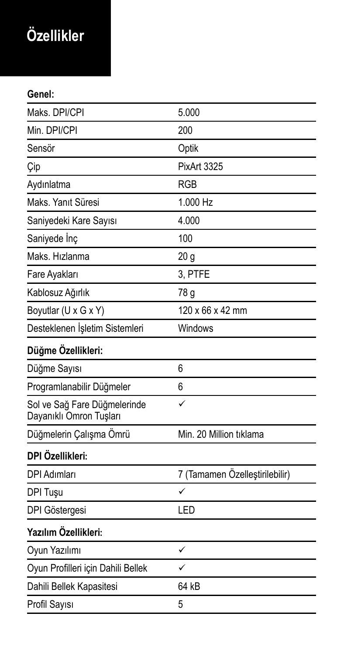## **Özellikler**

**Genel:**

| Maks. DPI/CPI                                           | 5.000                          |
|---------------------------------------------------------|--------------------------------|
| Min. DPI/CPI                                            | 200                            |
| Sensör                                                  | Optik                          |
| Çip                                                     | PixArt 3325                    |
| Aydınlatma                                              | <b>RGB</b>                     |
| Maks, Yanıt Süresi                                      | 1.000 Hz                       |
| Saniyedeki Kare Sayısı                                  | 4.000                          |
| Saniyede Inc                                            | 100                            |
| Maks, Hızlanma                                          | 20 <sub>g</sub>                |
| Fare Ayakları                                           | 3, PTFE                        |
| Kablosuz Ağırlık                                        | 78 g                           |
| Boyutlar (U x G x Y)                                    | 120 x 66 x 42 mm               |
| Desteklenen İşletim Sistemleri                          | Windows                        |
| Düğme Özellikleri:                                      |                                |
| Düğme Sayısı                                            | ĥ                              |
| Programlanabilir Düğmeler                               | 6                              |
| Sol ve Sağ Fare Düğmelerinde<br>Dayanıklı Omron Tuşları | ✓                              |
| Düğmelerin Çalışma Ömrü                                 | Min. 20 Million tiklama        |
| DPI Özellikleri:                                        |                                |
| DPI Adımları                                            | 7 (Tamamen Özelleştirilebilir) |
| DPI Tusu                                                | ✓                              |
| DPI Göstergesi                                          | LED                            |
| Yazılım Özellikleri:                                    |                                |
| Oyun Yazılımı                                           | ✓                              |
| Oyun Profilleri için Dahili Bellek                      | ✓                              |
| Dahili Bellek Kapasitesi                                | 64 kB                          |
| Profil Sayısı                                           | 5                              |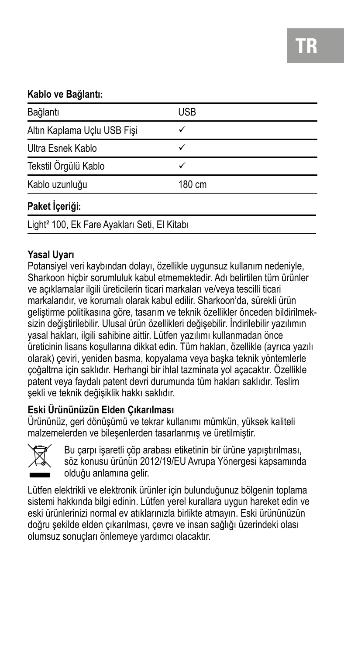### **Kablo ve Bağlantı:**

| Bağlantı                                                 | <b>USB</b> |  |
|----------------------------------------------------------|------------|--|
| Altın Kaplama Uçlu USB Fişi                              | ✓          |  |
| Ultra Esnek Kablo                                        | ✓          |  |
| Tekstil Örgülü Kablo                                     |            |  |
| Kablo uzunluğu                                           | 180 cm     |  |
| Paket İçeriği:                                           |            |  |
| Light <sup>2</sup> 100, Ek Fare Ayakları Seti, El Kitabı |            |  |

#### **Yasal Uyarı**

Potansiyel veri kaybından dolayı, özellikle uygunsuz kullanım nedeniyle, Sharkoon hiçbir sorumluluk kabul etmemektedir. Adı belirtilen tüm ürünler ve açıklamalar ilgili üreticilerin ticari markaları ve/veya tescilli ticari markalarıdır, ve korumalı olarak kabul edilir. Sharkoon'da, sürekli ürün geliştirme politikasına göre, tasarım ve teknik özellikler önceden bildirilmeksizin değiştirilebilir. Ulusal ürün özellikleri değişebilir. İndirilebilir yazılımın yasal hakları, ilgili sahibine aittir. Lütfen yazılımı kullanmadan önce üreticinin lisans koşullarına dikkat edin. Tüm hakları, özellikle (ayrıca yazılı olarak) çeviri, yeniden basma, kopyalama veya başka teknik yöntemlerle çoğaltma için saklıdır. Herhangi bir ihlal tazminata yol açacaktır. Özellikle patent veya faydalı patent devri durumunda tüm hakları saklıdır. Teslim şekli ve teknik değişiklik hakkı saklıdır.

### **Eski Ürününüzün Elden Çıkarılması**

Ürününüz, geri dönüşümü ve tekrar kullanımı mümkün, yüksek kaliteli malzemelerden ve bileşenlerden tasarlanmış ve üretilmiştir.



Bu carpı isaretli çöp arabası etiketinin bir ürüne yapıştırılması, söz konusu ürünün 2012/19/EU Avrupa Yönergesi kapsamında olduğu anlamına gelir.

Lütfen elektrikli ve elektronik ürünler için bulunduğunuz bölgenin toplama sistemi hakkında bilgi edinin. Lütfen yerel kurallara uygun hareket edin ve eski ürünlerinizi normal ev atıklarınızla birlikte atmayın. Eski ürününüzün doğru şekilde elden çıkarılması, çevre ve insan sağlığı üzerindeki olası olumsuz sonuçları önlemeye yardımcı olacaktır.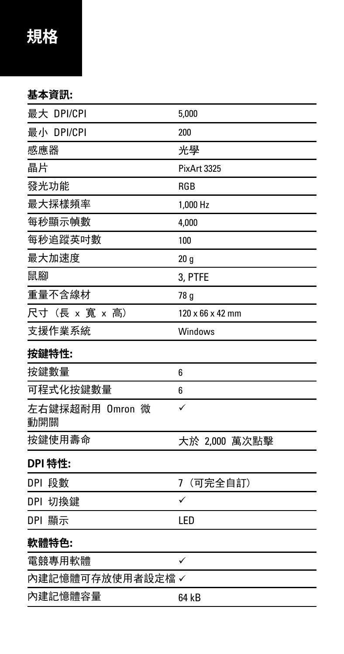### **基本資訊:**

| 最大 DPI/CPI             | 5,000                        |
|------------------------|------------------------------|
| 最小 DPI/CPI             | 200                          |
| 感應器                    | 光學                           |
| 晶片                     | PixArt 3325                  |
| 發光功能                   | <b>RGB</b>                   |
| 最大採樣頻率                 | 1,000 Hz                     |
| 每秒顯示幀數                 | 4,000                        |
| 每秒追蹤英吋數                | 100                          |
| 最大加速度                  | 20 <sub>g</sub>              |
| 鼠腳                     | 3, PTFE                      |
| 重量不含線材                 | 78 g                         |
| 尺寸 (長 x 寛 x 高)         | $120 \times 66 \times 42$ mm |
| 支援作業系統                 | Windows                      |
| 按鍵特性:                  |                              |
| 按鍵數量                   | 6                            |
| 可程式化按鍵數量               | 6                            |
| 左右鍵採超耐用 Omron 微<br>動開關 | ✓                            |
| 按鍵使用壽命                 | 大於 2,000 萬次點擊                |
| DPI 特性:                |                              |
| DPI 段數                 | (可完全自訂)<br>7                 |
| DPI 切換鍵                | ✓                            |
| DPI 顯示                 | LED                          |
| 軟體特色:                  |                              |
| 電競專用軟體                 | ✓                            |
| 内建記憶體可存放使用者設定檔✓        |                              |
| 內建記憶體容量                | 64 kB                        |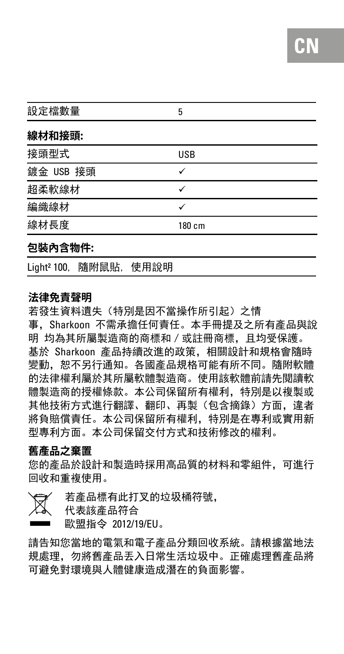| 設定檔數量                         |      | 5          |
|-------------------------------|------|------------|
| 線材和接頭:                        |      |            |
| 接頭型式                          |      | <b>USB</b> |
| 鍍金 USB 接頭                     |      | ✓          |
| 超柔軟線材                         |      | ✓          |
| 編織線材                          |      | ✓          |
| 線材長度                          |      | 180 cm     |
| 包裝內含物件:                       |      |            |
| Light <sup>2</sup> 100, 隨附鼠貼, | 使用說明 |            |

#### **法律免責聲明**

若發生資料遺失(特別是因不當操作所引起)之情 事,Sharkoon 不需承擔任何責任。本手冊提及之所有產品與說 明 均為其所屬製造商的商標和/或註冊商標,且均受保護。 基於 Sharkoon 產品持續改進的政策,相關設計和規格會隨時 變動,恕不另行通知。各國產品規格可能有所不同。隨附軟體 的法律權利屬於其所屬軟體製造商。使用該軟體前請先閱讀軟 體製造商的授權條款。本公司保留所有權利,特別是以複製或 其他技術方式進行翻譯、翻印、再製(包含摘錄)方面,違者 將負賠償責任。本公司保留所有權利,特別是在專利或實用新 型專利方面。本公司保留交付方式和技術修改的權利。

#### **舊產品之棄置**

您的產品於設計和製造時採用高品質的材料和零組件,可進行 回收和重複使用。

 若產品標有此打叉的垃圾桶符號, 代表該產品符合 歐盟指令 2012/19/EU。

請告知您當地的電氣和電子產品分類回收系統。請根據當地法 規處理,勿將舊產品丟入日常生活垃圾中。正確處理舊產品將 可避免對環境與人體健康造成潛在的負面影響。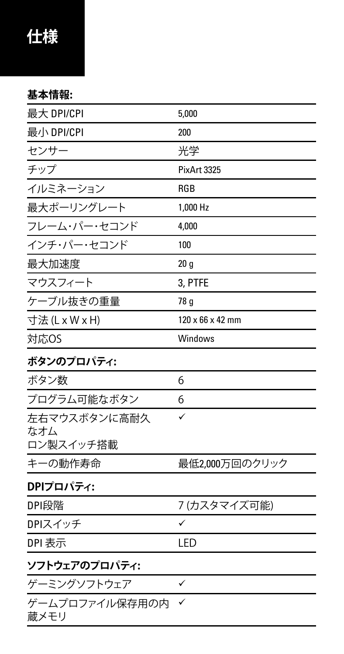### **仕様**

### **基本情報:**

| 最大 DPI/CPI             | 5,000                        |
|------------------------|------------------------------|
| 最小 DPI/CPI             | 200                          |
| センサー                   | 光学                           |
| チップ                    | PixArt 3325                  |
| イルミネーション               | <b>RGB</b>                   |
| 最大ポーリングレート             | 1.000 Hz                     |
| フレーム・パー・セコンド           | 4,000                        |
| インチ・パー・セコンド            | 100                          |
| 最大加速度                  | 20q                          |
| マウスフィート                | 3. PTFE                      |
| ケーブル抜きの重量              | 78 g                         |
| 寸法(LxWxH)              | $120 \times 66 \times 42$ mm |
| 对応OS                   | Windows                      |
| ボタンのプロパティ:             |                              |
| ボタン数                   | 6                            |
| プログラム可能なボタン            | 6                            |
| 左右マウスボタンに高耐久<br>なオム    | ✓                            |
| ロン製スイッチ搭載              |                              |
| キーの動作寿命                | 最低2,000万回のクリック               |
| DPIプロパティ:              |                              |
| DPI段階                  | 7(カスタマイズ可能)                  |
| DPIスイッチ                | ✓                            |
| DPI 表示                 | LED                          |
| ソフトウェアのプロパティ:          |                              |
| ゲーミングソフトウェア            | ✓                            |
| ゲームプロファイル保存用の内<br>蔵メモリ | ✓                            |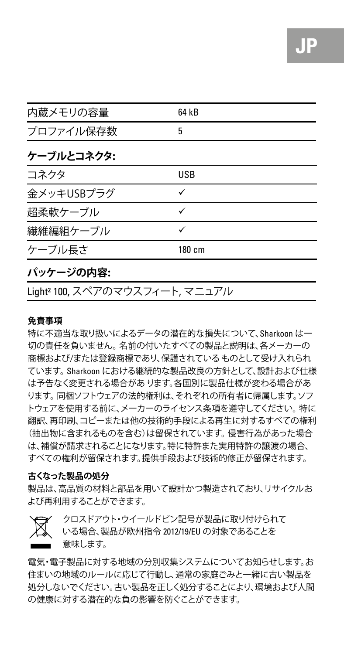| 内蔵メモリの容量   | 64 kB  |  |
|------------|--------|--|
| プロファイル保存数  | 5      |  |
| ケーブルとコネクタ: |        |  |
| コネクタ       | USB    |  |
| 金メッキUSBプラグ | ✓      |  |
| 招柔軟ケーブル    | ✓      |  |
| 繊維編組ケーブル   | ✓      |  |
| ケーブル長さ     | 180 cm |  |
|            |        |  |

#### **パッケージの内容:**

Light² 100, スペアのマウスフィート, マニュアル

#### **免責事項**

特に不適当な取り扱いによるデータの潜在的な損失について、Sharkoon は一 切の責任を負いません。名前の付いたすべての製品と説明は、各メーカーの 商標および/または登録商標であり、保護されているものとして受け入れられ ています。Sharkoon における継続的な製品改良の方針として、設計および仕様 は予告なく変更される場合があります。各国別に製品仕様が変わる場合があ ります。同梱ソフトウェアの法的権利は、それぞれの所有者に帰属します。ソフ トウェアを使用する前に、メーカーのライセンス条項を遵守してください。特に 翻訳、再印刷、コピーまたは他の技術的手段による再生に対するすべての権利 (抽出物に含まれるものを含む)は留保されています。侵害行為があった場合 は、補償が請求されることになります。特に特許また実用特許の譲渡の場合、 すべての権利が留保されます。提供手段および技術的修正が留保されます。

#### **古くなった製品の処分**

製品は、高品質の材料と部品を用いて設計かつ製造されており、リサイクルお よび再利用することができます。



 クロスドアウト・ウイールドビン記号が製品に取り付けられて いる場合、製品が欧州指令 2012/19/EU の対象であることを 意味します。

電気・電子製品に対する地域の分別収集システムについてお知らせします。お 住まいの地域のルールに応じて行動し、通常の家庭でみと一緒に古い製品を 処分しないでください。古い製品を正しく処分することにより、環境および人間 の健康に対する潜在的な負の影響を防ぐことができます。